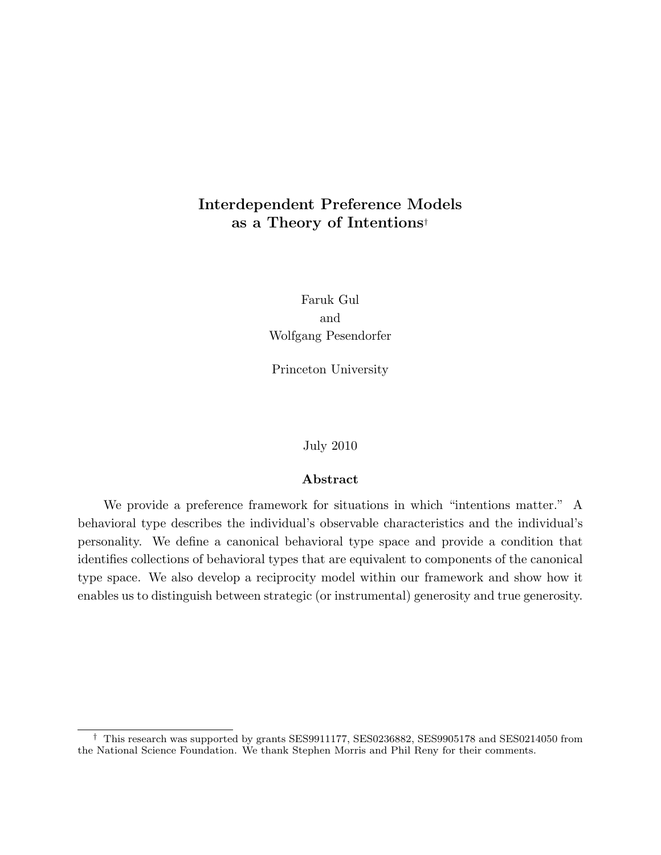# Interdependent Preference Models as a Theory of Intentions†

Faruk Gul and Wolfgang Pesendorfer

Princeton University

July 2010

### Abstract

We provide a preference framework for situations in which "intentions matter." A behavioral type describes the individual's observable characteristics and the individual's personality. We define a canonical behavioral type space and provide a condition that identifies collections of behavioral types that are equivalent to components of the canonical type space. We also develop a reciprocity model within our framework and show how it enables us to distinguish between strategic (or instrumental) generosity and true generosity.

<sup>†</sup> This research was supported by grants SES9911177, SES0236882, SES9905178 and SES0214050 from the National Science Foundation. We thank Stephen Morris and Phil Reny for their comments.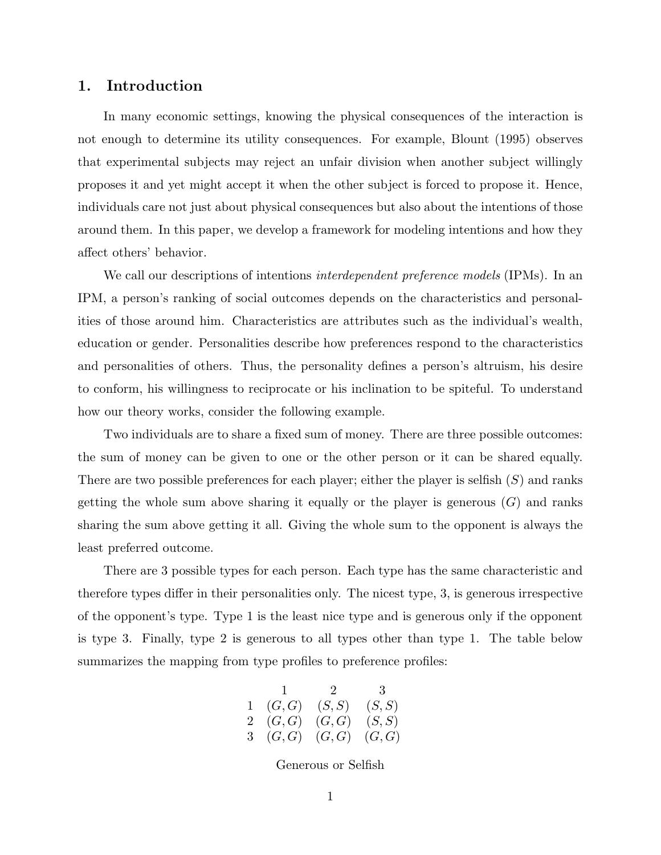## 1. Introduction

In many economic settings, knowing the physical consequences of the interaction is not enough to determine its utility consequences. For example, Blount (1995) observes that experimental subjects may reject an unfair division when another subject willingly proposes it and yet might accept it when the other subject is forced to propose it. Hence, individuals care not just about physical consequences but also about the intentions of those around them. In this paper, we develop a framework for modeling intentions and how they affect others' behavior.

We call our descriptions of intentions *interdependent preference models* (IPMs). In an IPM, a person's ranking of social outcomes depends on the characteristics and personalities of those around him. Characteristics are attributes such as the individual's wealth, education or gender. Personalities describe how preferences respond to the characteristics and personalities of others. Thus, the personality defines a person's altruism, his desire to conform, his willingness to reciprocate or his inclination to be spiteful. To understand how our theory works, consider the following example.

Two individuals are to share a fixed sum of money. There are three possible outcomes: the sum of money can be given to one or the other person or it can be shared equally. There are two possible preferences for each player; either the player is selfish  $(S)$  and ranks getting the whole sum above sharing it equally or the player is generous  $(G)$  and ranks sharing the sum above getting it all. Giving the whole sum to the opponent is always the least preferred outcome.

There are 3 possible types for each person. Each type has the same characteristic and therefore types differ in their personalities only. The nicest type, 3, is generous irrespective of the opponent's type. Type 1 is the least nice type and is generous only if the opponent is type 3. Finally, type 2 is generous to all types other than type 1. The table below summarizes the mapping from type profiles to preference profiles:

$$
\begin{array}{ccccc}\n & 1 & 2 & 3 \\
1 & (G, G) & (S, S) & (S, S) \\
2 & (G, G) & (G, G) & (S, S) \\
3 & (G, G) & (G, G) & (G, G)\n\end{array}
$$

Generous or Selfish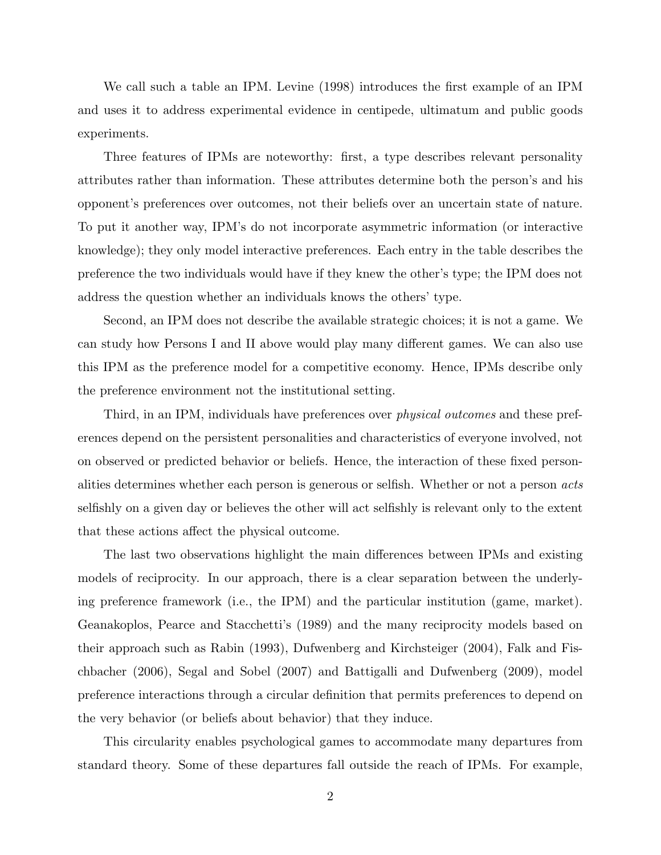We call such a table an IPM. Levine (1998) introduces the first example of an IPM and uses it to address experimental evidence in centipede, ultimatum and public goods experiments.

Three features of IPMs are noteworthy: first, a type describes relevant personality attributes rather than information. These attributes determine both the person's and his opponent's preferences over outcomes, not their beliefs over an uncertain state of nature. To put it another way, IPM's do not incorporate asymmetric information (or interactive knowledge); they only model interactive preferences. Each entry in the table describes the preference the two individuals would have if they knew the other's type; the IPM does not address the question whether an individuals knows the others' type.

Second, an IPM does not describe the available strategic choices; it is not a game. We can study how Persons I and II above would play many different games. We can also use this IPM as the preference model for a competitive economy. Hence, IPMs describe only the preference environment not the institutional setting.

Third, in an IPM, individuals have preferences over *physical outcomes* and these preferences depend on the persistent personalities and characteristics of everyone involved, not on observed or predicted behavior or beliefs. Hence, the interaction of these fixed personalities determines whether each person is generous or selfish. Whether or not a person acts selfishly on a given day or believes the other will act selfishly is relevant only to the extent that these actions affect the physical outcome.

The last two observations highlight the main differences between IPMs and existing models of reciprocity. In our approach, there is a clear separation between the underlying preference framework (i.e., the IPM) and the particular institution (game, market). Geanakoplos, Pearce and Stacchetti's (1989) and the many reciprocity models based on their approach such as Rabin (1993), Dufwenberg and Kirchsteiger (2004), Falk and Fischbacher (2006), Segal and Sobel (2007) and Battigalli and Dufwenberg (2009), model preference interactions through a circular definition that permits preferences to depend on the very behavior (or beliefs about behavior) that they induce.

This circularity enables psychological games to accommodate many departures from standard theory. Some of these departures fall outside the reach of IPMs. For example,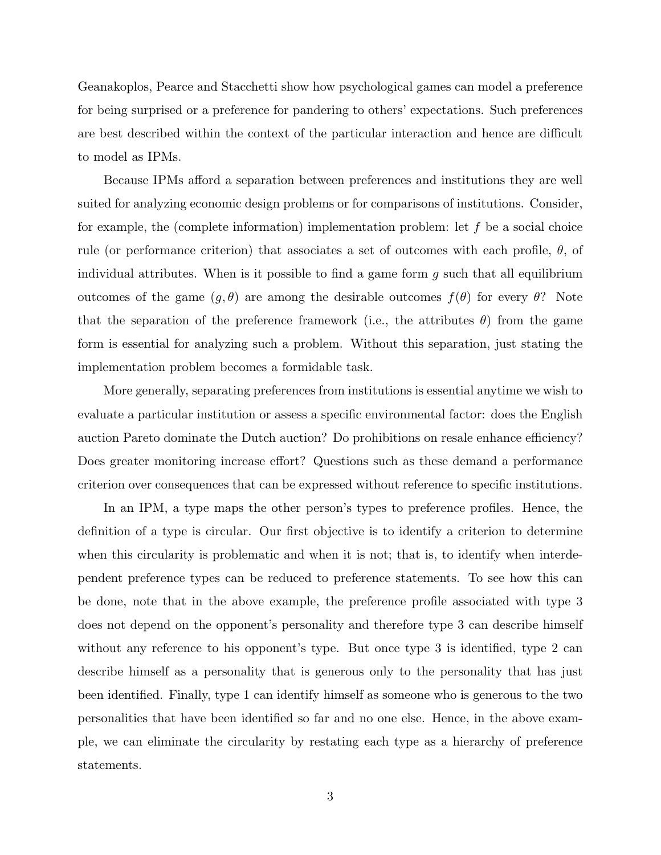Geanakoplos, Pearce and Stacchetti show how psychological games can model a preference for being surprised or a preference for pandering to others' expectations. Such preferences are best described within the context of the particular interaction and hence are difficult to model as IPMs.

Because IPMs afford a separation between preferences and institutions they are well suited for analyzing economic design problems or for comparisons of institutions. Consider, for example, the (complete information) implementation problem: let  $f$  be a social choice rule (or performance criterion) that associates a set of outcomes with each profile,  $\theta$ , of individual attributes. When is it possible to find a game form  $q$  such that all equilibrium outcomes of the game  $(g, θ)$  are among the desirable outcomes  $f(θ)$  for every  $θ$ ? Note that the separation of the preference framework (i.e., the attributes  $\theta$ ) from the game form is essential for analyzing such a problem. Without this separation, just stating the implementation problem becomes a formidable task.

More generally, separating preferences from institutions is essential anytime we wish to evaluate a particular institution or assess a specific environmental factor: does the English auction Pareto dominate the Dutch auction? Do prohibitions on resale enhance efficiency? Does greater monitoring increase effort? Questions such as these demand a performance criterion over consequences that can be expressed without reference to specific institutions.

In an IPM, a type maps the other person's types to preference profiles. Hence, the definition of a type is circular. Our first objective is to identify a criterion to determine when this circularity is problematic and when it is not; that is, to identify when interdependent preference types can be reduced to preference statements. To see how this can be done, note that in the above example, the preference profile associated with type 3 does not depend on the opponent's personality and therefore type 3 can describe himself without any reference to his opponent's type. But once type 3 is identified, type 2 can describe himself as a personality that is generous only to the personality that has just been identified. Finally, type 1 can identify himself as someone who is generous to the two personalities that have been identified so far and no one else. Hence, in the above example, we can eliminate the circularity by restating each type as a hierarchy of preference statements.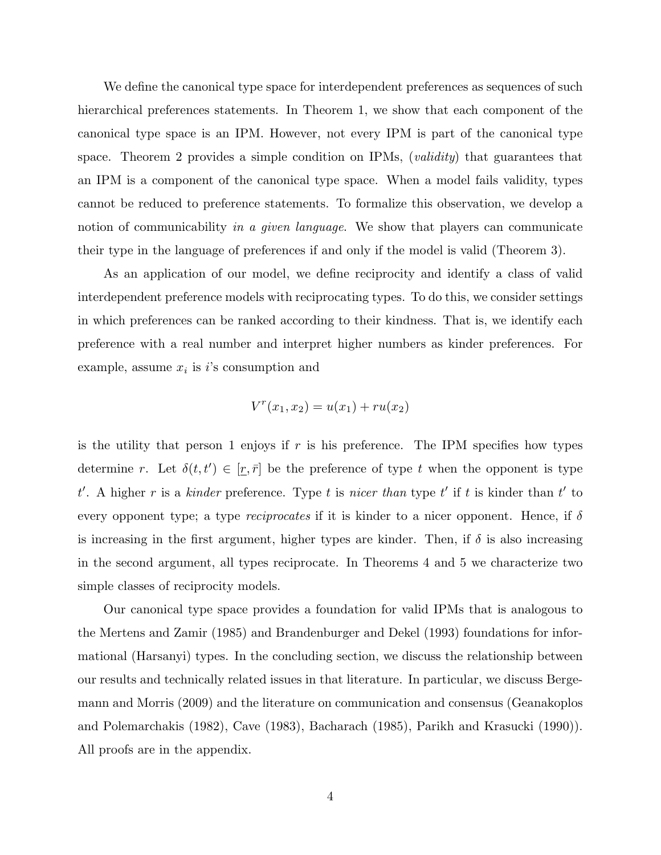We define the canonical type space for interdependent preferences as sequences of such hierarchical preferences statements. In Theorem 1, we show that each component of the canonical type space is an IPM. However, not every IPM is part of the canonical type space. Theorem 2 provides a simple condition on IPMs,  $\emph{(validity)}$  that guarantees that an IPM is a component of the canonical type space. When a model fails validity, types cannot be reduced to preference statements. To formalize this observation, we develop a notion of communicability in a given language. We show that players can communicate their type in the language of preferences if and only if the model is valid (Theorem 3).

As an application of our model, we define reciprocity and identify a class of valid interdependent preference models with reciprocating types. To do this, we consider settings in which preferences can be ranked according to their kindness. That is, we identify each preference with a real number and interpret higher numbers as kinder preferences. For example, assume  $x_i$  is i's consumption and

$$
V^{r}(x_{1}, x_{2}) = u(x_{1}) + ru(x_{2})
$$

is the utility that person 1 enjoys if  $r$  is his preference. The IPM specifies how types determine r. Let  $\delta(t, t') \in [\underline{r}, \overline{r}]$  be the preference of type t when the opponent is type t'. A higher r is a kinder preference. Type t is nicer than type t' if t is kinder than t' to every opponent type; a type *reciprocates* if it is kinder to a nicer opponent. Hence, if  $\delta$ is increasing in the first argument, higher types are kinder. Then, if  $\delta$  is also increasing in the second argument, all types reciprocate. In Theorems 4 and 5 we characterize two simple classes of reciprocity models.

Our canonical type space provides a foundation for valid IPMs that is analogous to the Mertens and Zamir (1985) and Brandenburger and Dekel (1993) foundations for informational (Harsanyi) types. In the concluding section, we discuss the relationship between our results and technically related issues in that literature. In particular, we discuss Bergemann and Morris (2009) and the literature on communication and consensus (Geanakoplos and Polemarchakis (1982), Cave (1983), Bacharach (1985), Parikh and Krasucki (1990)). All proofs are in the appendix.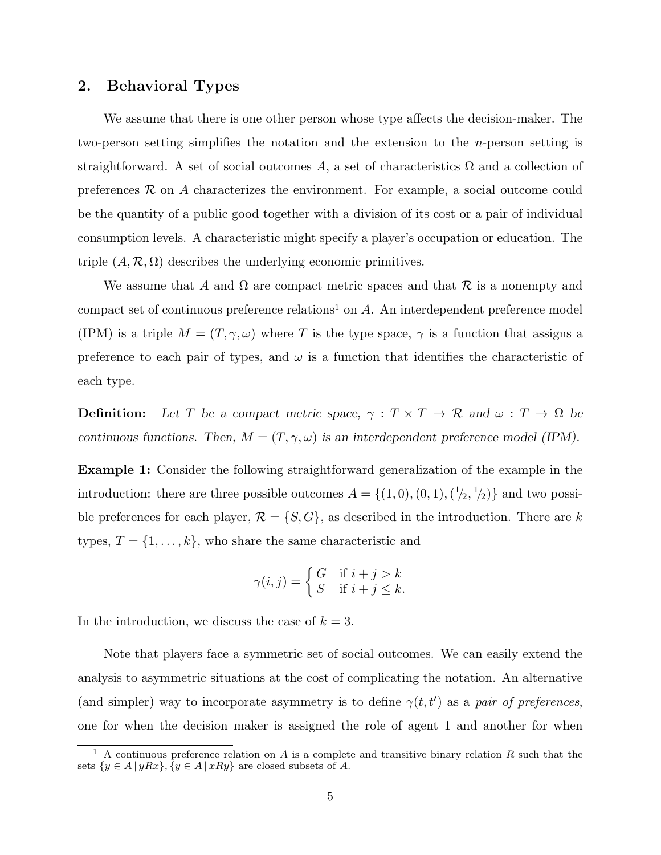## 2. Behavioral Types

We assume that there is one other person whose type affects the decision-maker. The two-person setting simplifies the notation and the extension to the n-person setting is straightforward. A set of social outcomes A, a set of characteristics  $\Omega$  and a collection of preferences  $\mathcal R$  on A characterizes the environment. For example, a social outcome could be the quantity of a public good together with a division of its cost or a pair of individual consumption levels. A characteristic might specify a player's occupation or education. The triple  $(A, \mathcal{R}, \Omega)$  describes the underlying economic primitives.

We assume that A and  $\Omega$  are compact metric spaces and that R is a nonempty and compact set of continuous preference relations<sup>1</sup> on  $A$ . An interdependent preference model (IPM) is a triple  $M = (T, \gamma, \omega)$  where T is the type space,  $\gamma$  is a function that assigns a preference to each pair of types, and  $\omega$  is a function that identifies the characteristic of each type.

**Definition:** Let T be a compact metric space,  $\gamma : T \times T \to \mathbb{R}$  and  $\omega : T \to \Omega$  be continuous functions. Then,  $M = (T, \gamma, \omega)$  is an interdependent preference model (IPM).

Example 1: Consider the following straightforward generalization of the example in the introduction: there are three possible outcomes  $A = \{(1,0), (0,1), (1/2, 1/2)\}\$  and two possible preferences for each player,  $\mathcal{R} = \{S, G\}$ , as described in the introduction. There are k types,  $T = \{1, \ldots, k\}$ , who share the same characteristic and

$$
\gamma(i,j) = \begin{cases} G & \text{if } i+j > k \\ S & \text{if } i+j \leq k. \end{cases}
$$

In the introduction, we discuss the case of  $k = 3$ .

Note that players face a symmetric set of social outcomes. We can easily extend the analysis to asymmetric situations at the cost of complicating the notation. An alternative (and simpler) way to incorporate asymmetry is to define  $\gamma(t, t')$  as a pair of preferences, one for when the decision maker is assigned the role of agent 1 and another for when

<sup>&</sup>lt;sup>1</sup> A continuous preference relation on A is a complete and transitive binary relation R such that the sets  $\{y \in A \mid yRx\}, \{y \in A \mid xRy\}$  are closed subsets of A.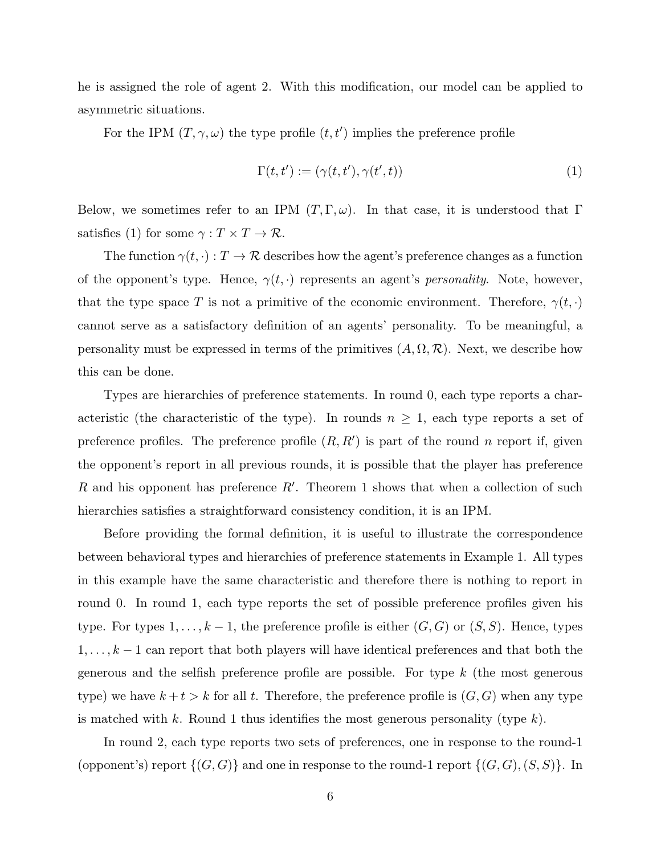he is assigned the role of agent 2. With this modification, our model can be applied to asymmetric situations.

For the IPM  $(T, \gamma, \omega)$  the type profile  $(t, t')$  implies the preference profile

$$
\Gamma(t, t') := (\gamma(t, t'), \gamma(t', t))
$$
\n<sup>(1)</sup>

Below, we sometimes refer to an IPM  $(T, \Gamma, \omega)$ . In that case, it is understood that Γ satisfies (1) for some  $\gamma: T \times T \to \mathcal{R}$ .

The function  $\gamma(t, \cdot) : T \to \mathcal{R}$  describes how the agent's preference changes as a function of the opponent's type. Hence,  $\gamma(t, \cdot)$  represents an agent's *personality*. Note, however, that the type space T is not a primitive of the economic environment. Therefore,  $\gamma(t, \cdot)$ cannot serve as a satisfactory definition of an agents' personality. To be meaningful, a personality must be expressed in terms of the primitives  $(A, \Omega, \mathcal{R})$ . Next, we describe how this can be done.

Types are hierarchies of preference statements. In round 0, each type reports a characteristic (the characteristic of the type). In rounds  $n \geq 1$ , each type reports a set of preference profiles. The preference profile  $(R, R')$  is part of the round n report if, given the opponent's report in all previous rounds, it is possible that the player has preference R and his opponent has preference  $R'$ . Theorem 1 shows that when a collection of such hierarchies satisfies a straightforward consistency condition, it is an IPM.

Before providing the formal definition, it is useful to illustrate the correspondence between behavioral types and hierarchies of preference statements in Example 1. All types in this example have the same characteristic and therefore there is nothing to report in round 0. In round 1, each type reports the set of possible preference profiles given his type. For types  $1, \ldots, k-1$ , the preference profile is either  $(G, G)$  or  $(S, S)$ . Hence, types  $1, \ldots, k-1$  can report that both players will have identical preferences and that both the generous and the selfish preference profile are possible. For type  $k$  (the most generous type) we have  $k + t > k$  for all t. Therefore, the preference profile is  $(G, G)$  when any type is matched with k. Round 1 thus identifies the most generous personality (type  $k$ ).

In round 2, each type reports two sets of preferences, one in response to the round-1 (opponent's) report  $\{(G, G)\}$  and one in response to the round-1 report  $\{(G, G), (S, S)\}$ . In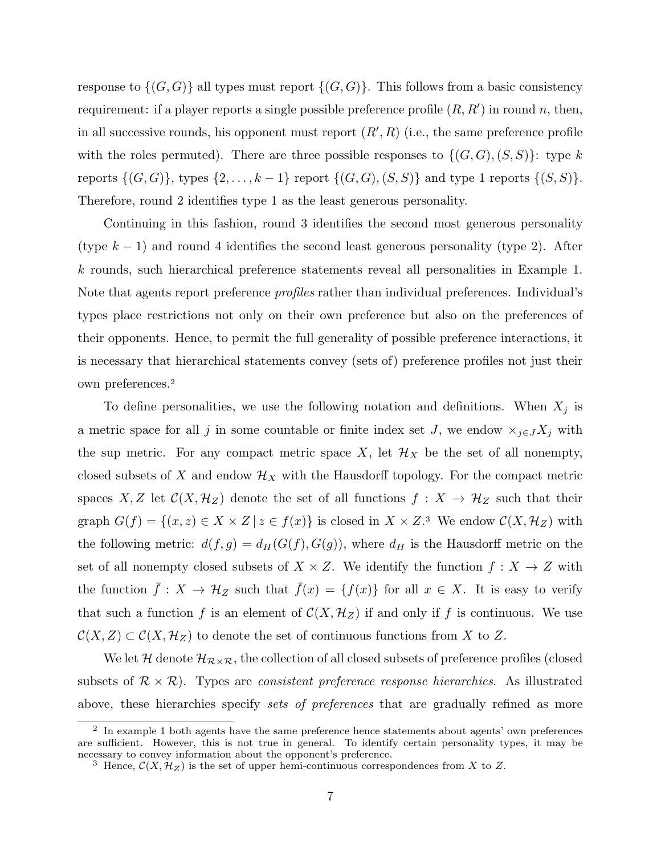response to  $\{(G, G)\}\$ all types must report  $\{(G, G)\}\$ . This follows from a basic consistency requirement: if a player reports a single possible preference profile  $(R, R')$  in round n, then, in all successive rounds, his opponent must report  $(R', R)$  (i.e., the same preference profile with the roles permuted). There are three possible responses to  $\{(G, G), (S, S)\}\colon$  type k reports  $\{(G, G)\}\$ , types  $\{2, ..., k-1\}$  report  $\{(G, G), (S, S)\}\$  and type 1 reports  $\{(S, S)\}\$ . Therefore, round 2 identifies type 1 as the least generous personality.

Continuing in this fashion, round 3 identifies the second most generous personality (type  $k-1$ ) and round 4 identifies the second least generous personality (type 2). After k rounds, such hierarchical preference statements reveal all personalities in Example 1. Note that agents report preference *profiles* rather than individual preferences. Individual's types place restrictions not only on their own preference but also on the preferences of their opponents. Hence, to permit the full generality of possible preference interactions, it is necessary that hierarchical statements convey (sets of) preference profiles not just their own preferences.<sup>2</sup>

To define personalities, we use the following notation and definitions. When  $X_j$  is a metric space for all j in some countable or finite index set J, we endow  $\times_{j\in J}X_j$  with the sup metric. For any compact metric space X, let  $\mathcal{H}_X$  be the set of all nonempty, closed subsets of X and endow  $\mathcal{H}_X$  with the Hausdorff topology. For the compact metric spaces X, Z let  $\mathcal{C}(X, \mathcal{H}_Z)$  denote the set of all functions  $f : X \to \mathcal{H}_Z$  such that their graph  $G(f) = \{(x, z) \in X \times Z \mid z \in f(x)\}\$ is closed in  $X \times Z$ <sup>3</sup>. We endow  $\mathcal{C}(X, \mathcal{H}_Z)$  with the following metric:  $d(f, g) = d_H(G(f), G(g))$ , where  $d_H$  is the Hausdorff metric on the set of all nonempty closed subsets of  $X \times Z$ . We identify the function  $f: X \to Z$  with the function  $\bar{f}: X \to \mathcal{H}_Z$  such that  $\bar{f}(x) = \{f(x)\}\$ for all  $x \in X$ . It is easy to verify that such a function f is an element of  $\mathcal{C}(X, \mathcal{H}_Z)$  if and only if f is continuous. We use  $\mathcal{C}(X, Z) \subset \mathcal{C}(X, \mathcal{H}_Z)$  to denote the set of continuous functions from X to Z.

We let H denote  $\mathcal{H}_{\mathcal{R}\times\mathcal{R}}$ , the collection of all closed subsets of preference profiles (closed subsets of  $\mathcal{R} \times \mathcal{R}$ ). Types are consistent preference response hierarchies. As illustrated above, these hierarchies specify sets of preferences that are gradually refined as more

 $2$  In example 1 both agents have the same preference hence statements about agents' own preferences are sufficient. However, this is not true in general. To identify certain personality types, it may be necessary to convey information about the opponent's preference.

<sup>&</sup>lt;sup>3</sup> Hence,  $\mathcal{C}(X, \mathcal{H}_Z)$  is the set of upper hemi-continuous correspondences from X to Z.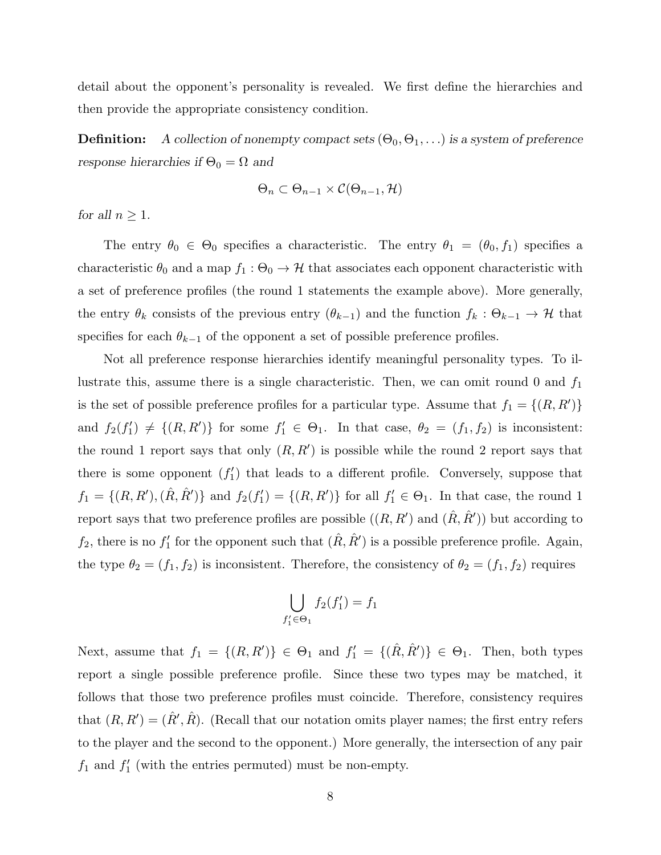detail about the opponent's personality is revealed. We first define the hierarchies and then provide the appropriate consistency condition.

**Definition:** A collection of nonempty compact sets  $(\Theta_0, \Theta_1, \ldots)$  is a system of preference response hierarchies if  $\Theta_0=\Omega$  and

$$
\Theta_n \subset \Theta_{n-1} \times \mathcal{C}(\Theta_{n-1}, \mathcal{H})
$$

for all  $n \geq 1$ .

The entry  $\theta_0 \in \Theta_0$  specifies a characteristic. The entry  $\theta_1 = (\theta_0, f_1)$  specifies a characteristic  $\theta_0$  and a map  $f_1 : \Theta_0 \to \mathcal{H}$  that associates each opponent characteristic with a set of preference profiles (the round 1 statements the example above). More generally, the entry  $\theta_k$  consists of the previous entry  $(\theta_{k-1})$  and the function  $f_k : \Theta_{k-1} \to \mathcal{H}$  that specifies for each  $\theta_{k-1}$  of the opponent a set of possible preference profiles.

Not all preference response hierarchies identify meaningful personality types. To illustrate this, assume there is a single characteristic. Then, we can omit round 0 and  $f_1$ is the set of possible preference profiles for a particular type. Assume that  $f_1 = \{(R, R')\}$ and  $f_2(f'_1) \neq \{(R, R')\}$  for some  $f'_1 \in \Theta_1$ . In that case,  $\theta_2 = (f_1, f_2)$  is inconsistent: the round 1 report says that only  $(R, R')$  is possible while the round 2 report says that there is some opponent  $(f'_1)$  that leads to a different profile. Conversely, suppose that  $f_1 = \{(R, R'), (\hat{R}, \hat{R}')\}$  and  $f_2(f_1') = \{(R, R')\}$  for all  $f_1' \in \Theta_1$ . In that case, the round 1 report says that two preference profiles are possible  $((R, R')$  and  $(\hat{R}, \hat{R}'))$  but according to  $f_2$ , there is no  $f'_1$  for the opponent such that  $(\hat{R}, \hat{R}')$  is a possible preference profile. Again, the type  $\theta_2 = (f_1, f_2)$  is inconsistent. Therefore, the consistency of  $\theta_2 = (f_1, f_2)$  requires

$$
\bigcup_{f_1' \in \Theta_1} f_2(f_1') = f_1
$$

Next, assume that  $f_1 = \{(R, R')\} \in \Theta_1$  and  $f_1' = \{(\hat{R}, \hat{R}')\} \in \Theta_1$ . Then, both types report a single possible preference profile. Since these two types may be matched, it follows that those two preference profiles must coincide. Therefore, consistency requires that  $(R, R') = (\hat{R}', \hat{R})$ . (Recall that our notation omits player names; the first entry refers to the player and the second to the opponent.) More generally, the intersection of any pair  $f_1$  and  $f'_1$  (with the entries permuted) must be non-empty.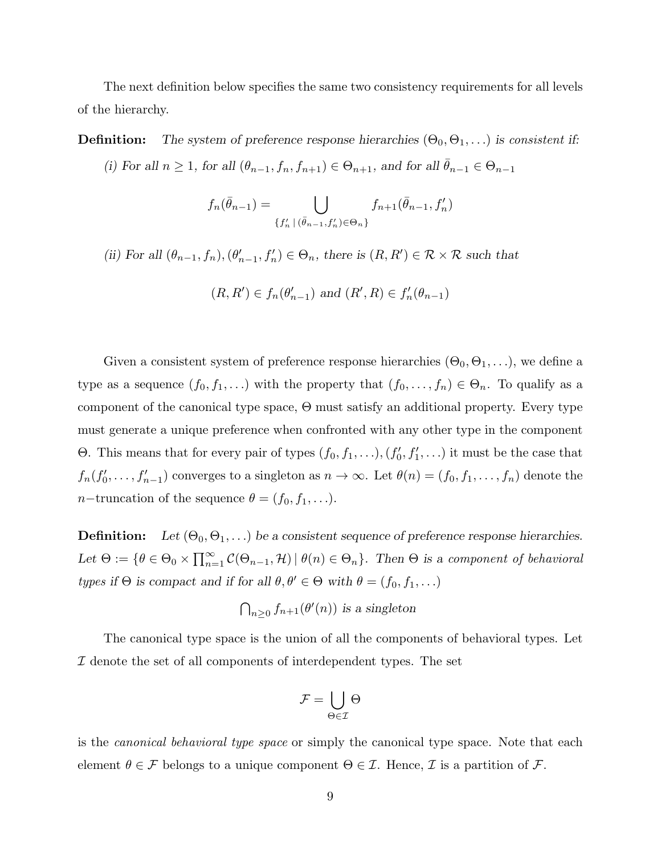The next definition below specifies the same two consistency requirements for all levels of the hierarchy.

**Definition:** The system of preference response hierarchies  $(\Theta_0, \Theta_1, \ldots)$  is consistent if:

(i) For all  $n \geq 1$ , for all  $(\theta_{n-1}, f_n, f_{n+1}) \in \Theta_{n+1}$ , and for all  $\bar{\theta}_{n-1} \in \Theta_{n-1}$ 

$$
f_n(\bar{\theta}_{n-1}) = \bigcup_{\{f'_n \mid (\bar{\theta}_{n-1}, f'_n) \in \Theta_n\}} f_{n+1}(\bar{\theta}_{n-1}, f'_n)
$$

(ii) For all  $(\theta_{n-1}, f_n), (\theta'_{n-1}, f'_n) \in \Theta_n$ , there is  $(R, R') \in \mathcal{R} \times \mathcal{R}$  such that

$$
(R, R') \in f_n(\theta'_{n-1})
$$
 and  $(R', R) \in f'_n(\theta_{n-1})$ 

Given a consistent system of preference response hierarchies  $(\Theta_0, \Theta_1, \ldots)$ , we define a type as a sequence  $(f_0, f_1, \ldots)$  with the property that  $(f_0, \ldots, f_n) \in \Theta_n$ . To qualify as a component of the canonical type space, Θ must satisfy an additional property. Every type must generate a unique preference when confronted with any other type in the component Θ. This means that for every pair of types  $(f_0, f_1, \ldots), (f'_0, f'_1, \ldots)$  it must be the case that  $f_n(f'_0,\ldots,f'_{n-1})$  converges to a singleton as  $n \to \infty$ . Let  $\theta(n) = (f_0, f_1, \ldots, f_n)$  denote the *n*−truncation of the sequence  $\theta = (f_0, f_1, \ldots)$ .

**Definition:** Let  $(\Theta_0, \Theta_1, \ldots)$  be a consistent sequence of preference response hierarchies. Let  $\Theta := \{ \theta \in \Theta_0 \times \prod_{n=1}^{\infty} \}$  $\sum_{n=1}^{\infty} \mathcal{C}(\Theta_{n-1}, \mathcal{H}) \mid \theta(n) \in \Theta_n \}$ . Then  $\Theta$  is a component of behavioral types if  $\Theta$  is compact and if for all  $\theta, \theta' \in \Theta$  with  $\theta = (f_0, f_1, \ldots)$ 

$$
\bigcap_{n>0} f_{n+1}(\theta'(n)) \text{ is a singleton}
$$

The canonical type space is the union of all the components of behavioral types. Let  $I$  denote the set of all components of interdependent types. The set

$$
\mathcal{F} = \bigcup_{\Theta \in \mathcal{I}} \Theta
$$

is the canonical behavioral type space or simply the canonical type space. Note that each element  $\theta \in \mathcal{F}$  belongs to a unique component  $\Theta \in \mathcal{I}$ . Hence,  $\mathcal{I}$  is a partition of  $\mathcal{F}$ .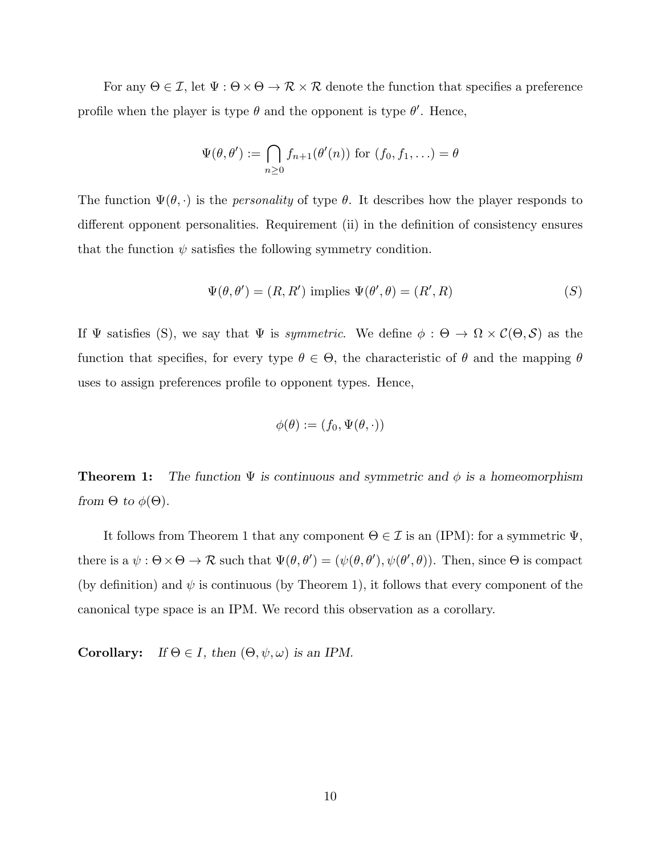For any  $\Theta \in \mathcal{I}$ , let  $\Psi : \Theta \times \Theta \to \mathcal{R} \times \mathcal{R}$  denote the function that specifies a preference profile when the player is type  $\theta$  and the opponent is type  $\theta'$ . Hence,

$$
\Psi(\theta,\theta') := \bigcap_{n\geq 0} f_{n+1}(\theta'(n)) \text{ for } (f_0,f_1,\ldots) = \theta
$$

The function  $\Psi(\theta, \cdot)$  is the *personality* of type  $\theta$ . It describes how the player responds to different opponent personalities. Requirement (ii) in the definition of consistency ensures that the function  $\psi$  satisfies the following symmetry condition.

$$
\Psi(\theta, \theta') = (R, R') \text{ implies } \Psi(\theta', \theta) = (R', R) \tag{S}
$$

If  $\Psi$  satisfies (S), we say that  $\Psi$  is *symmetric*. We define  $\phi : \Theta \to \Omega \times C(\Theta, \mathcal{S})$  as the function that specifies, for every type  $\theta \in \Theta$ , the characteristic of  $\theta$  and the mapping  $\theta$ uses to assign preferences profile to opponent types. Hence,

$$
\phi(\theta) := (f_0, \Psi(\theta, \cdot))
$$

**Theorem 1:** The function  $\Psi$  is continuous and symmetric and  $\phi$  is a homeomorphism from  $\Theta$  to  $\phi(\Theta)$ .

It follows from Theorem 1 that any component  $\Theta \in \mathcal{I}$  is an (IPM): for a symmetric  $\Psi$ , there is a  $\psi : \Theta \times \Theta \to \mathcal{R}$  such that  $\Psi(\theta, \theta') = (\psi(\theta, \theta'), \psi(\theta', \theta))$ . Then, since  $\Theta$  is compact (by definition) and  $\psi$  is continuous (by Theorem 1), it follows that every component of the canonical type space is an IPM. We record this observation as a corollary.

**Corollary:** If  $\Theta \in I$ , then  $(\Theta, \psi, \omega)$  is an IPM.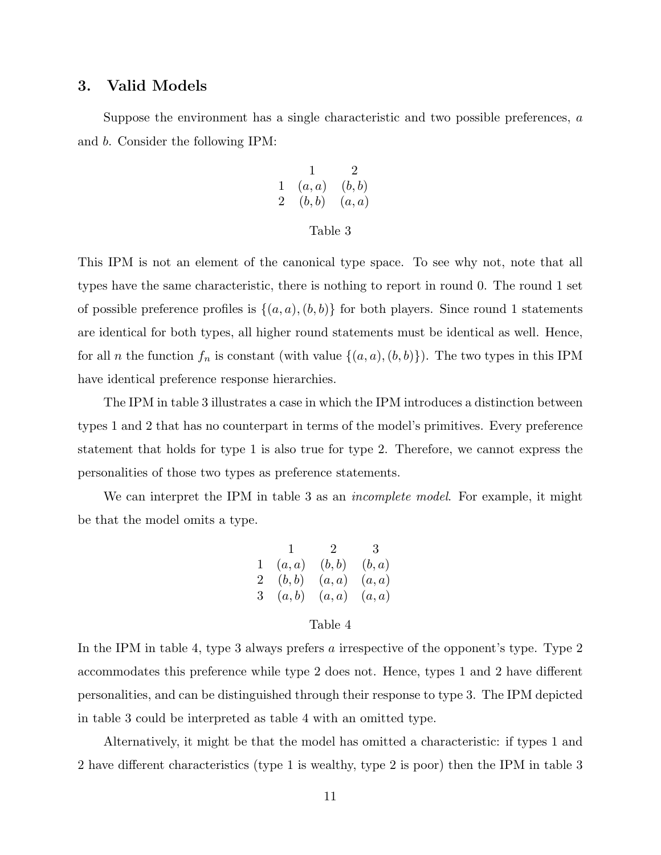## 3. Valid Models

Suppose the environment has a single characteristic and two possible preferences,  $a$ and b. Consider the following IPM:

$$
\begin{array}{ccccc} & 1 & 2 \\ 1 & (a,a) & (b,b) \\ 2 & (b,b) & (a,a) \end{array}
$$

### Table 3

This IPM is not an element of the canonical type space. To see why not, note that all types have the same characteristic, there is nothing to report in round 0. The round 1 set of possible preference profiles is  $\{(a, a), (b, b)\}\$ for both players. Since round 1 statements are identical for both types, all higher round statements must be identical as well. Hence, for all *n* the function  $f_n$  is constant (with value  $\{(a, a), (b, b)\}\)$ . The two types in this IPM have identical preference response hierarchies.

The IPM in table 3 illustrates a case in which the IPM introduces a distinction between types 1 and 2 that has no counterpart in terms of the model's primitives. Every preference statement that holds for type 1 is also true for type 2. Therefore, we cannot express the personalities of those two types as preference statements.

We can interpret the IPM in table 3 as an *incomplete model*. For example, it might be that the model omits a type.

$$
\begin{array}{ccccc} & 1 & 2 & 3 \\ 1 & (a,a) & (b,b) & (b,a) \\ 2 & (b,b) & (a,a) & (a,a) \\ 3 & (a,b) & (a,a) & (a,a) \end{array}
$$

### Table 4

In the IPM in table 4, type 3 always prefers a irrespective of the opponent's type. Type 2 accommodates this preference while type 2 does not. Hence, types 1 and 2 have different personalities, and can be distinguished through their response to type 3. The IPM depicted in table 3 could be interpreted as table 4 with an omitted type.

Alternatively, it might be that the model has omitted a characteristic: if types 1 and 2 have different characteristics (type 1 is wealthy, type 2 is poor) then the IPM in table 3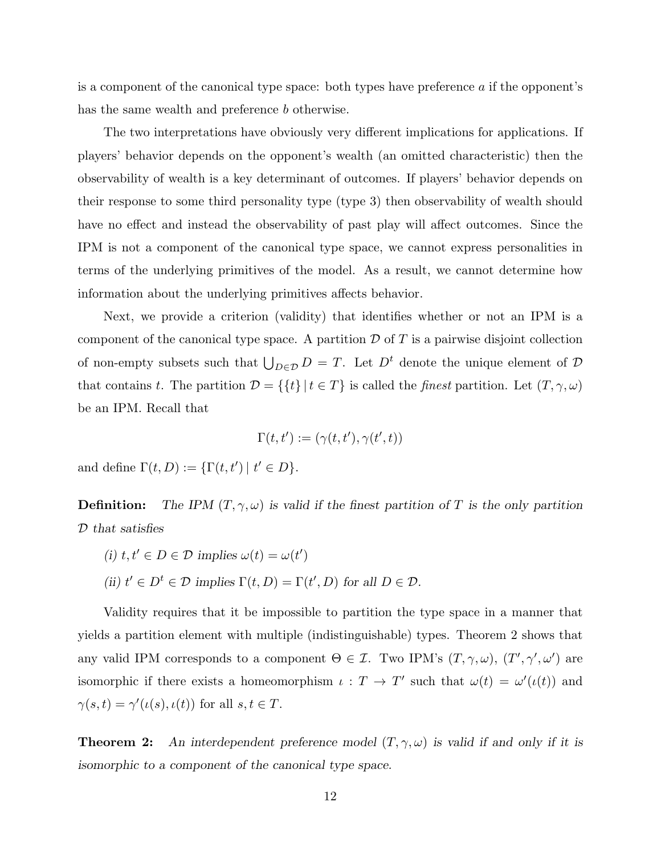is a component of the canonical type space: both types have preference  $\alpha$  if the opponent's has the same wealth and preference b otherwise.

The two interpretations have obviously very different implications for applications. If players' behavior depends on the opponent's wealth (an omitted characteristic) then the observability of wealth is a key determinant of outcomes. If players' behavior depends on their response to some third personality type (type 3) then observability of wealth should have no effect and instead the observability of past play will affect outcomes. Since the IPM is not a component of the canonical type space, we cannot express personalities in terms of the underlying primitives of the model. As a result, we cannot determine how information about the underlying primitives affects behavior.

Next, we provide a criterion (validity) that identifies whether or not an IPM is a component of the canonical type space. A partition  $\mathcal D$  of  $T$  is a pairwise disjoint collection of non-empty subsets such that  $\bigcup_{D \in \mathcal{D}} D = T$ . Let  $D^t$  denote the unique element of  $\mathcal{D}$ that contains t. The partition  $\mathcal{D} = \{ \{t\} | t \in T \}$  is called the *finest* partition. Let  $(T, \gamma, \omega)$ be an IPM. Recall that

$$
\Gamma(t, t') := (\gamma(t, t'), \gamma(t', t))
$$

and define  $\Gamma(t, D) := {\{\Gamma(t, t') \mid t' \in D\}}.$ 

**Definition:** The IPM  $(T, \gamma, \omega)$  is valid if the finest partition of T is the only partition D that satisfies

- (i)  $t, t' \in D \in \mathcal{D}$  implies  $\omega(t) = \omega(t')$
- (ii)  $t' \in D^t \in \mathcal{D}$  implies  $\Gamma(t, D) = \Gamma(t', D)$  for all  $D \in \mathcal{D}$ .

Validity requires that it be impossible to partition the type space in a manner that yields a partition element with multiple (indistinguishable) types. Theorem 2 shows that any valid IPM corresponds to a component  $\Theta \in \mathcal{I}$ . Two IPM's  $(T, \gamma, \omega)$ ,  $(T', \gamma', \omega')$  are isomorphic if there exists a homeomorphism  $\iota : T \to T'$  such that  $\omega(t) = \omega'(i(t))$  and  $\gamma(s,t) = \gamma'(\iota(s), \iota(t))$  for all  $s, t \in T$ .

**Theorem 2:** An interdependent preference model  $(T, \gamma, \omega)$  is valid if and only if it is isomorphic to a component of the canonical type space.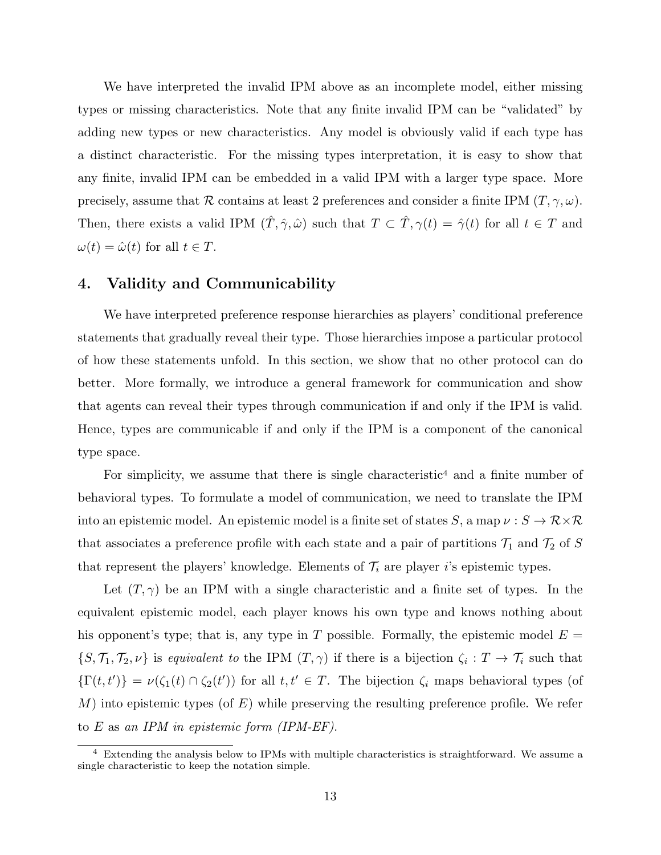We have interpreted the invalid IPM above as an incomplete model, either missing types or missing characteristics. Note that any finite invalid IPM can be "validated" by adding new types or new characteristics. Any model is obviously valid if each type has a distinct characteristic. For the missing types interpretation, it is easy to show that any finite, invalid IPM can be embedded in a valid IPM with a larger type space. More precisely, assume that R contains at least 2 preferences and consider a finite IPM  $(T, \gamma, \omega)$ . Then, there exists a valid IPM  $(\hat{T}, \hat{\gamma}, \hat{\omega})$  such that  $T \subset \hat{T}$ ,  $\gamma(t) = \hat{\gamma}(t)$  for all  $t \in T$  and  $\omega(t) = \hat{\omega}(t)$  for all  $t \in T$ .

## 4. Validity and Communicability

We have interpreted preference response hierarchies as players' conditional preference statements that gradually reveal their type. Those hierarchies impose a particular protocol of how these statements unfold. In this section, we show that no other protocol can do better. More formally, we introduce a general framework for communication and show that agents can reveal their types through communication if and only if the IPM is valid. Hence, types are communicable if and only if the IPM is a component of the canonical type space.

For simplicity, we assume that there is single characteristic<sup>4</sup> and a finite number of behavioral types. To formulate a model of communication, we need to translate the IPM into an epistemic model. An epistemic model is a finite set of states  $S$ , a map  $\nu : S \to \mathcal{R} \times \mathcal{R}$ that associates a preference profile with each state and a pair of partitions  $\mathcal{T}_1$  and  $\mathcal{T}_2$  of S that represent the players' knowledge. Elements of  $\mathcal{T}_i$  are player i's epistemic types.

Let  $(T, \gamma)$  be an IPM with a single characteristic and a finite set of types. In the equivalent epistemic model, each player knows his own type and knows nothing about his opponent's type; that is, any type in T possible. Formally, the epistemic model  $E =$  $\{S, \mathcal{T}_1, \mathcal{T}_2, \nu\}$  is equivalent to the IPM  $(T, \gamma)$  if there is a bijection  $\zeta_i : T \to \mathcal{T}_i$  such that  $\{\Gamma(t,t')\} = \nu(\zeta_1(t) \cap \zeta_2(t'))$  for all  $t,t' \in T$ . The bijection  $\zeta_i$  maps behavioral types (of  $M$ ) into epistemic types (of E) while preserving the resulting preference profile. We refer to E as an IPM in epistemic form (IPM-EF).

<sup>&</sup>lt;sup>4</sup> Extending the analysis below to IPMs with multiple characteristics is straightforward. We assume a single characteristic to keep the notation simple.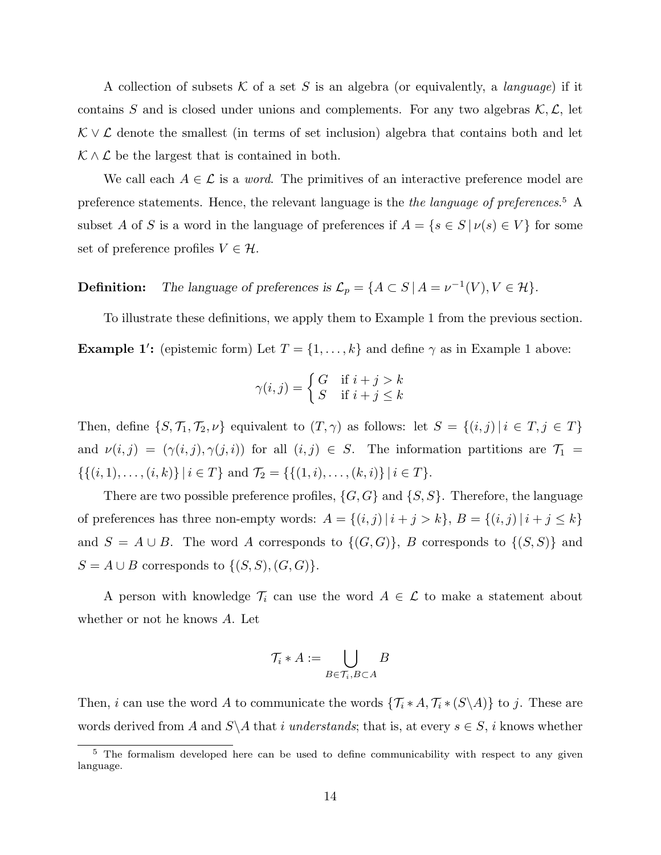A collection of subsets K of a set S is an algebra (or equivalently, a *language*) if it contains S and is closed under unions and complements. For any two algebras  $\mathcal{K}, \mathcal{L}$ , let  $\mathcal{K} \vee \mathcal{L}$  denote the smallest (in terms of set inclusion) algebra that contains both and let  $K \wedge L$  be the largest that is contained in both.

We call each  $A \in \mathcal{L}$  is a *word*. The primitives of an interactive preference model are preference statements. Hence, the relevant language is the *the language of preferences*.<sup>5</sup> A subset A of S is a word in the language of preferences if  $A = \{s \in S \mid \nu(s) \in V\}$  for some set of preference profiles  $V \in \mathcal{H}$ .

**Definition:** The language of preferences is  $\mathcal{L}_p = \{A \subset S \mid A = \nu^{-1}(V), V \in \mathcal{H}\}.$ 

To illustrate these definitions, we apply them to Example 1 from the previous section. **Example 1':** (epistemic form) Let  $T = \{1, \ldots, k\}$  and define  $\gamma$  as in Example 1 above:

$$
\gamma(i,j) = \begin{cases} G & \text{if } i+j > k \\ S & \text{if } i+j \le k \end{cases}
$$

Then, define  $\{S, \mathcal{T}_1, \mathcal{T}_2, \nu\}$  equivalent to  $(T, \gamma)$  as follows: let  $S = \{(i, j) | i \in T, j \in T\}$ and  $\nu(i, j) = (\gamma(i, j), \gamma(j, i))$  for all  $(i, j) \in S$ . The information partitions are  $\mathcal{T}_1$  =  $\{\{(i, 1), \ldots, (i, k)\} | i \in T\}$  and  $\mathcal{T}_2 = \{\{(1, i), \ldots, (k, i)\} | i \in T\}.$ 

There are two possible preference profiles,  $\{G, G\}$  and  $\{S, S\}$ . Therefore, the language of preferences has three non-empty words:  $A = \{(i, j) | i + j > k\}, B = \{(i, j) | i + j \le k\}$ and  $S = A \cup B$ . The word A corresponds to  $\{(G, G)\}\$ , B corresponds to  $\{(S, S)\}\$  and  $S = A \cup B$  corresponds to  $\{(S, S), (G, G)\}.$ 

A person with knowledge  $\mathcal{T}_i$  can use the word  $A \in \mathcal{L}$  to make a statement about whether or not he knows A. Let

$$
\mathcal{T}_i * A := \bigcup_{B \in \mathcal{T}_i, B \subset A} B
$$

Then, *i* can use the word A to communicate the words  $\{\mathcal{T}_i * A, \mathcal{T}_i * (S \setminus A)\}\)$  to *j*. These are words derived from A and  $S\ A$  that i understands; that is, at every  $s \in S$ , i knows whether

<sup>&</sup>lt;sup>5</sup> The formalism developed here can be used to define communicability with respect to any given language.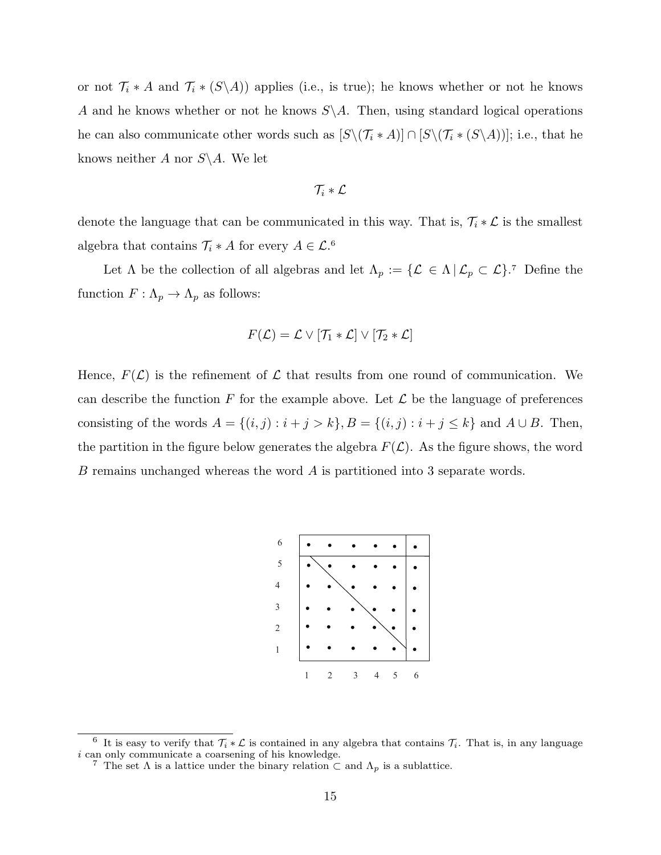or not  $\mathcal{T}_i * A$  and  $\mathcal{T}_i * (S \setminus A)$  applies (i.e., is true); he knows whether or not he knows A and he knows whether or not he knows  $S \setminus A$ . Then, using standard logical operations he can also communicate other words such as  $[S\setminus (\mathcal{T}_i * A)] \cap [S\setminus (\mathcal{T}_i * (S\setminus A))]$ ; i.e., that he knows neither A nor  $S \backslash A$ . We let

$$
\mathcal{T}_i*\mathcal{L}
$$

denote the language that can be communicated in this way. That is,  $\mathcal{T}_i * \mathcal{L}$  is the smallest algebra that contains  $\mathcal{T}_i * A$  for every  $A \in \mathcal{L}.^6$ 

Let  $\Lambda$  be the collection of all algebras and let  $\Lambda_p := \{ \mathcal{L} \in \Lambda \, | \, \mathcal{L}_p \subset \mathcal{L} \}$ .<sup>7</sup> Define the function  $F: \Lambda_p \to \Lambda_p$  as follows:

$$
F(\mathcal{L}) = \mathcal{L} \vee [\mathcal{T}_1 * \mathcal{L}] \vee [\mathcal{T}_2 * \mathcal{L}]
$$

Hence,  $F(\mathcal{L})$  is the refinement of  $\mathcal L$  that results from one round of communication. We can describe the function F for the example above. Let  $\mathcal L$  be the language of preferences consisting of the words  $A = \{(i, j) : i + j > k\}$ ,  $B = \{(i, j) : i + j \le k\}$  and  $A \cup B$ . Then, the partition in the figure below generates the algebra  $F(\mathcal{L})$ . As the figure shows, the word B remains unchanged whereas the word A is partitioned into 3 separate words.



<sup>&</sup>lt;sup>6</sup> It is easy to verify that  $\mathcal{T}_i * \mathcal{L}$  is contained in any algebra that contains  $\mathcal{T}_i$ . That is, in any language i can only communicate a coarsening of his knowledge.

<sup>&</sup>lt;sup>7</sup> The set  $\Lambda$  is a lattice under the binary relation  $\subset$  and  $\Lambda_p$  is a sublattice.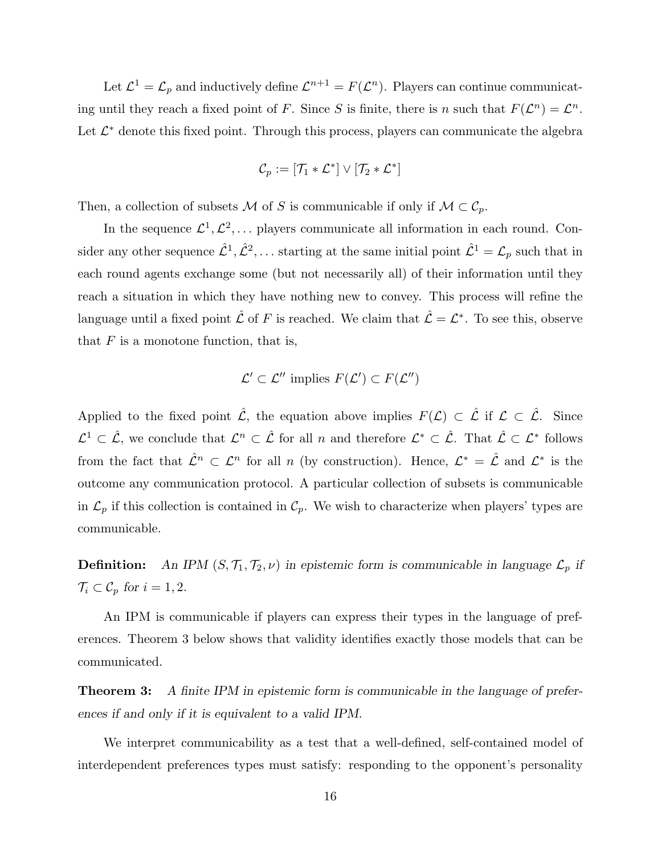Let  $\mathcal{L}^1 = \mathcal{L}_p$  and inductively define  $\mathcal{L}^{n+1} = F(\mathcal{L}^n)$ . Players can continue communicating until they reach a fixed point of F. Since S is finite, there is n such that  $F(\mathcal{L}^n) = \mathcal{L}^n$ . Let  $\mathcal{L}^*$  denote this fixed point. Through this process, players can communicate the algebra

$$
\mathcal{C}_p := [\mathcal{T}_1 * \mathcal{L}^*] \vee [\mathcal{T}_2 * \mathcal{L}^*]
$$

Then, a collection of subsets M of S is communicable if only if  $M \subset \mathcal{C}_p$ .

In the sequence  $\mathcal{L}^1, \mathcal{L}^2, \ldots$  players communicate all information in each round. Consider any other sequence  $\hat{\mathcal{L}}^1, \hat{\mathcal{L}}^2, \dots$  starting at the same initial point  $\hat{\mathcal{L}}^1 = \mathcal{L}_p$  such that in each round agents exchange some (but not necessarily all) of their information until they reach a situation in which they have nothing new to convey. This process will refine the language until a fixed point  $\hat{\mathcal{L}}$  of F is reached. We claim that  $\hat{\mathcal{L}} = \mathcal{L}^*$ . To see this, observe that  $F$  is a monotone function, that is,

$$
\mathcal{L}' \subset \mathcal{L}'' \text{ implies } F(\mathcal{L}') \subset F(\mathcal{L}'')
$$

Applied to the fixed point  $\hat{\mathcal{L}}$ , the equation above implies  $F(\mathcal{L}) \subset \hat{\mathcal{L}}$  if  $\mathcal{L} \subset \hat{\mathcal{L}}$ . Since  $\mathcal{L}^1 \subset \hat{\mathcal{L}}$ , we conclude that  $\mathcal{L}^n \subset \hat{\mathcal{L}}$  for all n and therefore  $\mathcal{L}^* \subset \hat{\mathcal{L}}$ . That  $\hat{\mathcal{L}} \subset \mathcal{L}^*$  follows from the fact that  $\hat{\mathcal{L}}^n \subset \mathcal{L}^n$  for all n (by construction). Hence,  $\mathcal{L}^* = \hat{\mathcal{L}}$  and  $\mathcal{L}^*$  is the outcome any communication protocol. A particular collection of subsets is communicable in  $\mathcal{L}_p$  if this collection is contained in  $\mathcal{C}_p$ . We wish to characterize when players' types are communicable.

**Definition:** An IPM  $(S, \mathcal{T}_1, \mathcal{T}_2, \nu)$  in epistemic form is communicable in language  $\mathcal{L}_p$  if  $\mathcal{T}_i \subset \mathcal{C}_p$  for  $i = 1, 2$ .

An IPM is communicable if players can express their types in the language of preferences. Theorem 3 below shows that validity identifies exactly those models that can be communicated.

**Theorem 3:** A finite IPM in epistemic form is communicable in the language of preferences if and only if it is equivalent to a valid IPM.

We interpret communicability as a test that a well-defined, self-contained model of interdependent preferences types must satisfy: responding to the opponent's personality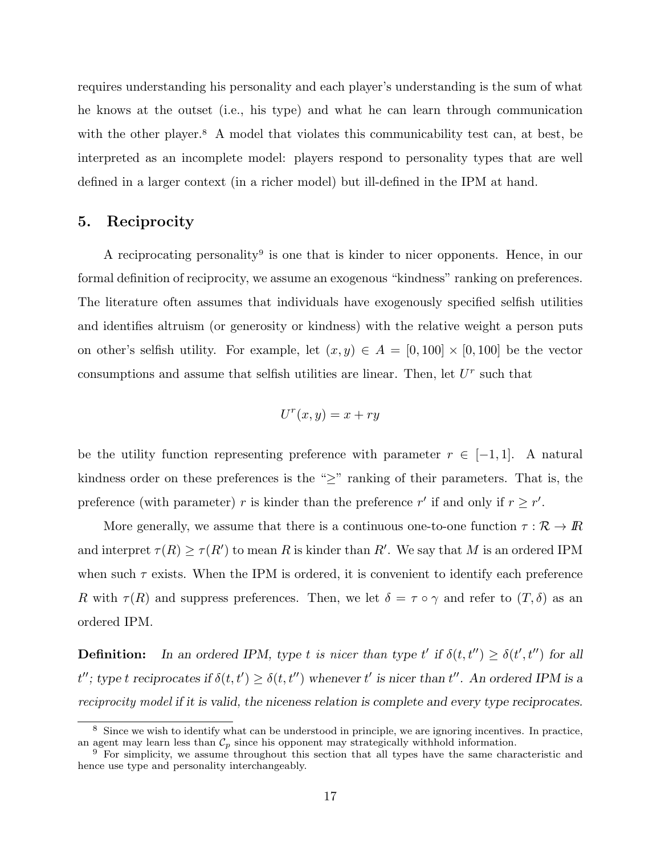requires understanding his personality and each player's understanding is the sum of what he knows at the outset (i.e., his type) and what he can learn through communication with the other player.<sup>8</sup> A model that violates this communicability test can, at best, be interpreted as an incomplete model: players respond to personality types that are well defined in a larger context (in a richer model) but ill-defined in the IPM at hand.

### 5. Reciprocity

A reciprocating personality<sup>9</sup> is one that is kinder to nicer opponents. Hence, in our formal definition of reciprocity, we assume an exogenous "kindness" ranking on preferences. The literature often assumes that individuals have exogenously specified selfish utilities and identifies altruism (or generosity or kindness) with the relative weight a person puts on other's selfish utility. For example, let  $(x, y) \in A = [0, 100] \times [0, 100]$  be the vector consumptions and assume that selfish utilities are linear. Then, let  $U<sup>r</sup>$  such that

$$
U^r(x,y) = x + ry
$$

be the utility function representing preference with parameter  $r \in [-1,1]$ . A natural kindness order on these preferences is the "≥" ranking of their parameters. That is, the preference (with parameter) r is kinder than the preference r' if and only if  $r \geq r'$ .

More generally, we assume that there is a continuous one-to-one function  $\tau : \mathcal{R} \to \mathbb{R}$ and interpret  $\tau(R) \geq \tau(R')$  to mean R is kinder than R'. We say that M is an ordered IPM when such  $\tau$  exists. When the IPM is ordered, it is convenient to identify each preference R with  $\tau(R)$  and suppress preferences. Then, we let  $\delta = \tau \circ \gamma$  and refer to  $(T, \delta)$  as an ordered IPM.

**Definition:** In an ordered IPM, type t is nicer than type t' if  $\delta(t, t'') \geq \delta(t', t'')$  for all  $t''$ ; type t reciprocates if  $\delta(t, t') \geq \delta(t, t'')$  whenever t' is nicer than  $t''$ . An ordered IPM is a reciprocity model if it is valid, the niceness relation is complete and every type reciprocates.

<sup>&</sup>lt;sup>8</sup> Since we wish to identify what can be understood in principle, we are ignoring incentives. In practice, an agent may learn less than  $C_p$  since his opponent may strategically withhold information.

<sup>&</sup>lt;sup>9</sup> For simplicity, we assume throughout this section that all types have the same characteristic and hence use type and personality interchangeably.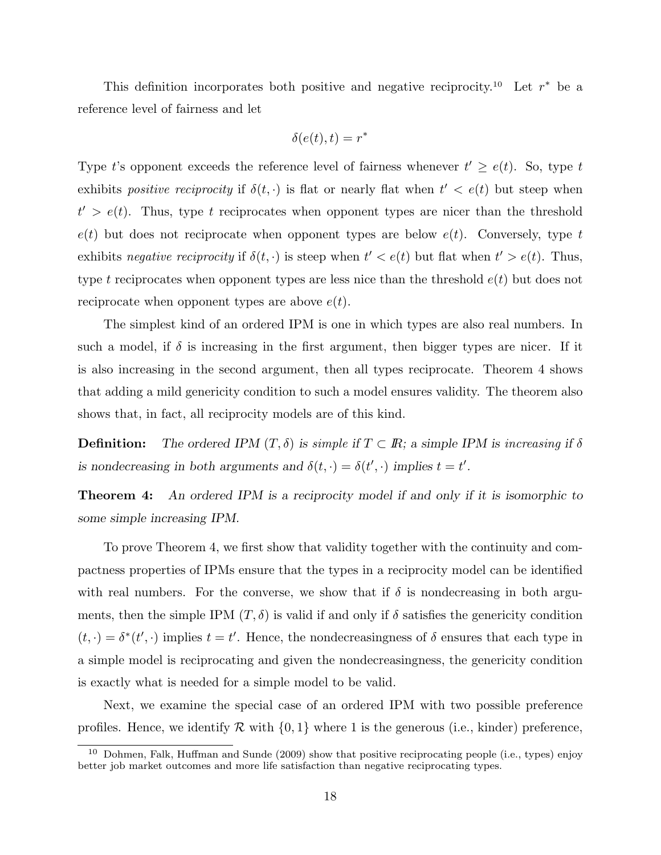This definition incorporates both positive and negative reciprocity.<sup>10</sup> Let  $r^*$  be a reference level of fairness and let

$$
\delta(e(t),t) = r^*
$$

Type t's opponent exceeds the reference level of fairness whenever  $t' \ge e(t)$ . So, type t exhibits *positive reciprocity* if  $\delta(t, \cdot)$  is flat or nearly flat when  $t' < e(t)$  but steep when  $t' > e(t)$ . Thus, type t reciprocates when opponent types are nicer than the threshold  $e(t)$  but does not reciprocate when opponent types are below  $e(t)$ . Conversely, type t exhibits negative reciprocity if  $\delta(t, \cdot)$  is steep when  $t' < e(t)$  but flat when  $t' > e(t)$ . Thus, type t reciprocates when opponent types are less nice than the threshold  $e(t)$  but does not reciprocate when opponent types are above  $e(t)$ .

The simplest kind of an ordered IPM is one in which types are also real numbers. In such a model, if  $\delta$  is increasing in the first argument, then bigger types are nicer. If it is also increasing in the second argument, then all types reciprocate. Theorem 4 shows that adding a mild genericity condition to such a model ensures validity. The theorem also shows that, in fact, all reciprocity models are of this kind.

**Definition:** The ordered IPM  $(T, \delta)$  is simple if  $T \subset \mathbb{R}$ ; a simple IPM is increasing if  $\delta$ is nondecreasing in both arguments and  $\delta(t, \cdot) = \delta(t', \cdot)$  implies  $t = t'$ .

**Theorem 4:** An ordered IPM is a reciprocity model if and only if it is isomorphic to some simple increasing IPM.

To prove Theorem 4, we first show that validity together with the continuity and compactness properties of IPMs ensure that the types in a reciprocity model can be identified with real numbers. For the converse, we show that if  $\delta$  is nondecreasing in both arguments, then the simple IPM  $(T, \delta)$  is valid if and only if  $\delta$  satisfies the genericity condition  $(t, \cdot) = \delta^*(t', \cdot)$  implies  $t = t'$ . Hence, the nondecreasingness of  $\delta$  ensures that each type in a simple model is reciprocating and given the nondecreasingness, the genericity condition is exactly what is needed for a simple model to be valid.

Next, we examine the special case of an ordered IPM with two possible preference profiles. Hence, we identify R with  $\{0,1\}$  where 1 is the generous (i.e., kinder) preference,

 $10$  Dohmen, Falk, Huffman and Sunde (2009) show that positive reciprocating people (i.e., types) enjoy better job market outcomes and more life satisfaction than negative reciprocating types.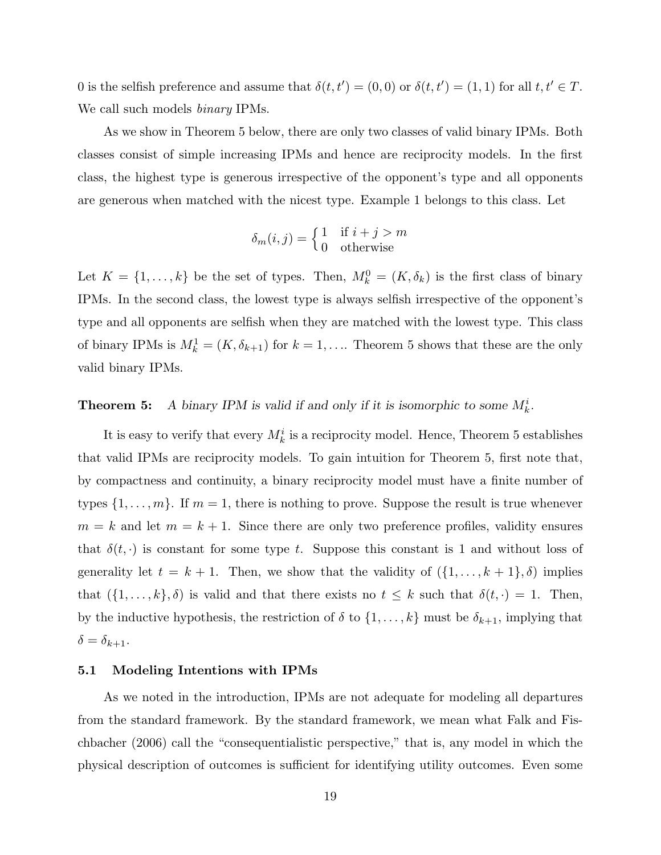0 is the selfish preference and assume that  $\delta(t, t') = (0, 0)$  or  $\delta(t, t') = (1, 1)$  for all  $t, t' \in T$ . We call such models *binary* IPMs.

As we show in Theorem 5 below, there are only two classes of valid binary IPMs. Both classes consist of simple increasing IPMs and hence are reciprocity models. In the first class, the highest type is generous irrespective of the opponent's type and all opponents are generous when matched with the nicest type. Example 1 belongs to this class. Let

$$
\delta_m(i,j) = \begin{cases} 1 & \text{if } i+j > m \\ 0 & \text{otherwise} \end{cases}
$$

Let  $K = \{1, \ldots, k\}$  be the set of types. Then,  $M_k^0 = (K, \delta_k)$  is the first class of binary IPMs. In the second class, the lowest type is always selfish irrespective of the opponent's type and all opponents are selfish when they are matched with the lowest type. This class of binary IPMs is  $M_k^1 = (K, \delta_{k+1})$  for  $k = 1, \ldots$  Theorem 5 shows that these are the only valid binary IPMs.

# **Theorem 5:** A binary IPM is valid if and only if it is isomorphic to some  $M_k^i$ .

It is easy to verify that every  $M_k^i$  is a reciprocity model. Hence, Theorem 5 establishes that valid IPMs are reciprocity models. To gain intuition for Theorem 5, first note that, by compactness and continuity, a binary reciprocity model must have a finite number of types  $\{1, \ldots, m\}$ . If  $m = 1$ , there is nothing to prove. Suppose the result is true whenever  $m = k$  and let  $m = k + 1$ . Since there are only two preference profiles, validity ensures that  $\delta(t, \cdot)$  is constant for some type t. Suppose this constant is 1 and without loss of generality let  $t = k + 1$ . Then, we show that the validity of  $({1, \ldots, k + 1}, \delta)$  implies that  $({1, ..., k}, \delta)$  is valid and that there exists no  $t \leq k$  such that  $\delta(t, \cdot) = 1$ . Then, by the inductive hypothesis, the restriction of  $\delta$  to  $\{1, \ldots, k\}$  must be  $\delta_{k+1}$ , implying that  $\delta = \delta_{k+1}.$ 

### 5.1 Modeling Intentions with IPMs

As we noted in the introduction, IPMs are not adequate for modeling all departures from the standard framework. By the standard framework, we mean what Falk and Fischbacher (2006) call the "consequentialistic perspective," that is, any model in which the physical description of outcomes is sufficient for identifying utility outcomes. Even some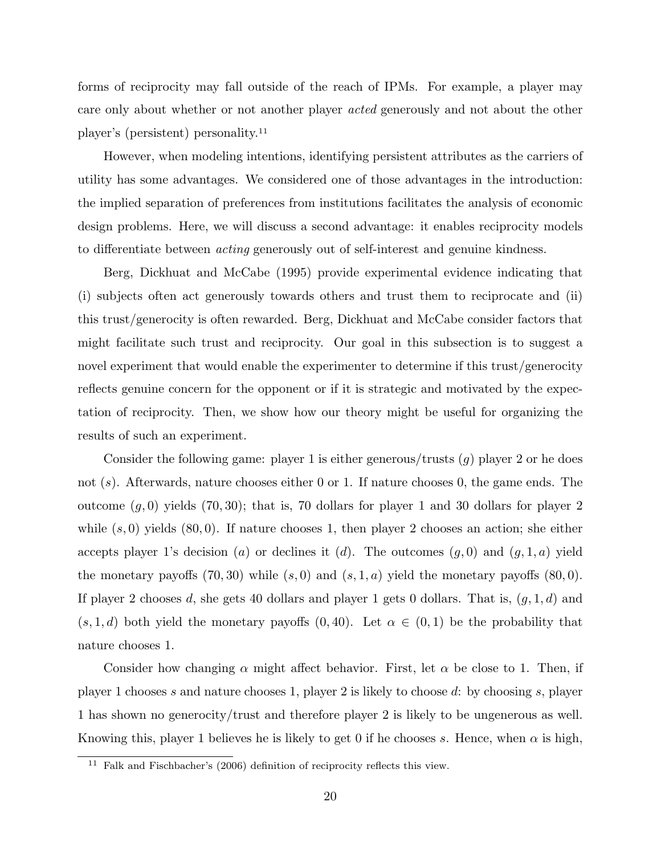forms of reciprocity may fall outside of the reach of IPMs. For example, a player may care only about whether or not another player acted generously and not about the other player's (persistent) personality.<sup>11</sup>

However, when modeling intentions, identifying persistent attributes as the carriers of utility has some advantages. We considered one of those advantages in the introduction: the implied separation of preferences from institutions facilitates the analysis of economic design problems. Here, we will discuss a second advantage: it enables reciprocity models to differentiate between acting generously out of self-interest and genuine kindness.

Berg, Dickhuat and McCabe (1995) provide experimental evidence indicating that (i) subjects often act generously towards others and trust them to reciprocate and (ii) this trust/generocity is often rewarded. Berg, Dickhuat and McCabe consider factors that might facilitate such trust and reciprocity. Our goal in this subsection is to suggest a novel experiment that would enable the experimenter to determine if this trust/generocity reflects genuine concern for the opponent or if it is strategic and motivated by the expectation of reciprocity. Then, we show how our theory might be useful for organizing the results of such an experiment.

Consider the following game: player 1 is either generous/trusts  $(g)$  player 2 or he does not (s). Afterwards, nature chooses either 0 or 1. If nature chooses 0, the game ends. The outcome  $(q, 0)$  yields  $(70, 30)$ ; that is, 70 dollars for player 1 and 30 dollars for player 2 while  $(s, 0)$  yields  $(80, 0)$ . If nature chooses 1, then player 2 chooses an action; she either accepts player 1's decision (a) or declines it (d). The outcomes  $(q, 0)$  and  $(q, 1, a)$  yield the monetary payoffs  $(70, 30)$  while  $(s, 0)$  and  $(s, 1, a)$  yield the monetary payoffs  $(80, 0)$ . If player 2 chooses d, she gets 40 dollars and player 1 gets 0 dollars. That is,  $(g, 1, d)$  and  $(s, 1, d)$  both yield the monetary payoffs  $(0, 40)$ . Let  $\alpha \in (0, 1)$  be the probability that nature chooses 1.

Consider how changing  $\alpha$  might affect behavior. First, let  $\alpha$  be close to 1. Then, if player 1 chooses s and nature chooses 1, player 2 is likely to choose d: by choosing s, player 1 has shown no generocity/trust and therefore player 2 is likely to be ungenerous as well. Knowing this, player 1 believes he is likely to get 0 if he chooses s. Hence, when  $\alpha$  is high,

 $11$  Falk and Fischbacher's (2006) definition of reciprocity reflects this view.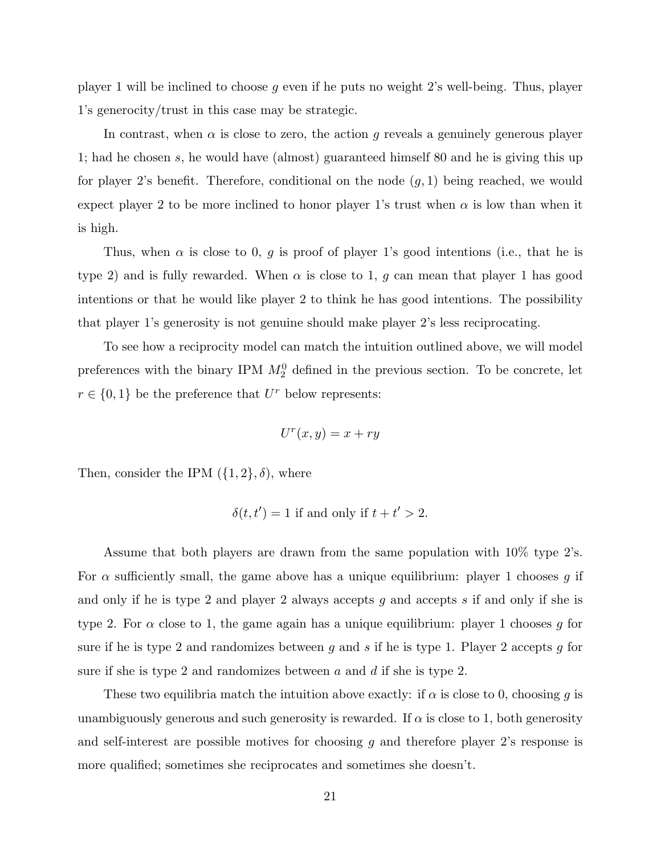player 1 will be inclined to choose g even if he puts no weight 2's well-being. Thus, player 1's generocity/trust in this case may be strategic.

In contrast, when  $\alpha$  is close to zero, the action q reveals a genuinely generous player 1; had he chosen s, he would have (almost) guaranteed himself 80 and he is giving this up for player 2's benefit. Therefore, conditional on the node  $(g, 1)$  being reached, we would expect player 2 to be more inclined to honor player 1's trust when  $\alpha$  is low than when it is high.

Thus, when  $\alpha$  is close to 0, g is proof of player 1's good intentions (i.e., that he is type 2) and is fully rewarded. When  $\alpha$  is close to 1, g can mean that player 1 has good intentions or that he would like player 2 to think he has good intentions. The possibility that player 1's generosity is not genuine should make player 2's less reciprocating.

To see how a reciprocity model can match the intuition outlined above, we will model preferences with the binary IPM  $M_2^0$  defined in the previous section. To be concrete, let  $r \in \{0,1\}$  be the preference that  $U^r$  below represents:

$$
U^r(x, y) = x + ry
$$

Then, consider the IPM  $({1, 2}, \delta)$ , where

$$
\delta(t, t') = 1
$$
 if and only if  $t + t' > 2$ .

Assume that both players are drawn from the same population with 10% type 2's. For  $\alpha$  sufficiently small, the game above has a unique equilibrium: player 1 chooses g if and only if he is type 2 and player 2 always accepts g and accepts s if and only if she is type 2. For  $\alpha$  close to 1, the game again has a unique equilibrium: player 1 chooses g for sure if he is type 2 and randomizes between q and s if he is type 1. Player 2 accepts q for sure if she is type 2 and randomizes between a and d if she is type 2.

These two equilibria match the intuition above exactly: if  $\alpha$  is close to 0, choosing g is unambiguously generous and such generosity is rewarded. If  $\alpha$  is close to 1, both generosity and self-interest are possible motives for choosing  $g$  and therefore player 2's response is more qualified; sometimes she reciprocates and sometimes she doesn't.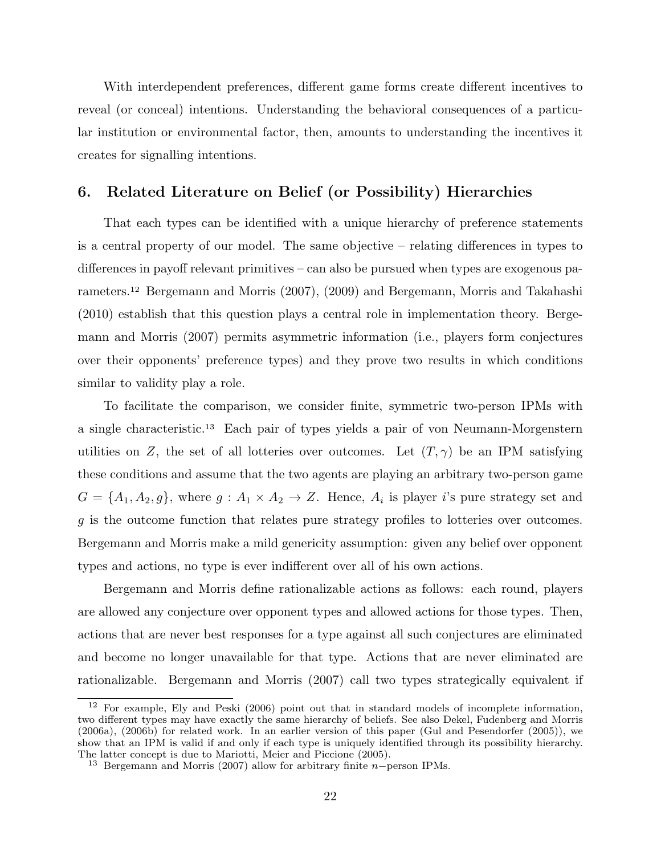With interdependent preferences, different game forms create different incentives to reveal (or conceal) intentions. Understanding the behavioral consequences of a particular institution or environmental factor, then, amounts to understanding the incentives it creates for signalling intentions.

## 6. Related Literature on Belief (or Possibility) Hierarchies

That each types can be identified with a unique hierarchy of preference statements is a central property of our model. The same objective – relating differences in types to differences in payoff relevant primitives – can also be pursued when types are exogenous parameters.<sup>12</sup> Bergemann and Morris (2007), (2009) and Bergemann, Morris and Takahashi (2010) establish that this question plays a central role in implementation theory. Bergemann and Morris (2007) permits asymmetric information (i.e., players form conjectures over their opponents' preference types) and they prove two results in which conditions similar to validity play a role.

To facilitate the comparison, we consider finite, symmetric two-person IPMs with a single characteristic.<sup>13</sup> Each pair of types yields a pair of von Neumann-Morgenstern utilities on Z, the set of all lotteries over outcomes. Let  $(T, \gamma)$  be an IPM satisfying these conditions and assume that the two agents are playing an arbitrary two-person game  $G = \{A_1, A_2, g\}$ , where  $g: A_1 \times A_2 \to Z$ . Hence,  $A_i$  is player i's pure strategy set and g is the outcome function that relates pure strategy profiles to lotteries over outcomes. Bergemann and Morris make a mild genericity assumption: given any belief over opponent types and actions, no type is ever indifferent over all of his own actions.

Bergemann and Morris define rationalizable actions as follows: each round, players are allowed any conjecture over opponent types and allowed actions for those types. Then, actions that are never best responses for a type against all such conjectures are eliminated and become no longer unavailable for that type. Actions that are never eliminated are rationalizable. Bergemann and Morris (2007) call two types strategically equivalent if

<sup>&</sup>lt;sup>12</sup> For example, Ely and Peski (2006) point out that in standard models of incomplete information, two different types may have exactly the same hierarchy of beliefs. See also Dekel, Fudenberg and Morris (2006a), (2006b) for related work. In an earlier version of this paper (Gul and Pesendorfer (2005)), we show that an IPM is valid if and only if each type is uniquely identified through its possibility hierarchy. The latter concept is due to Mariotti, Meier and Piccione (2005).

<sup>13</sup> Bergemann and Morris (2007) allow for arbitrary finite n−person IPMs.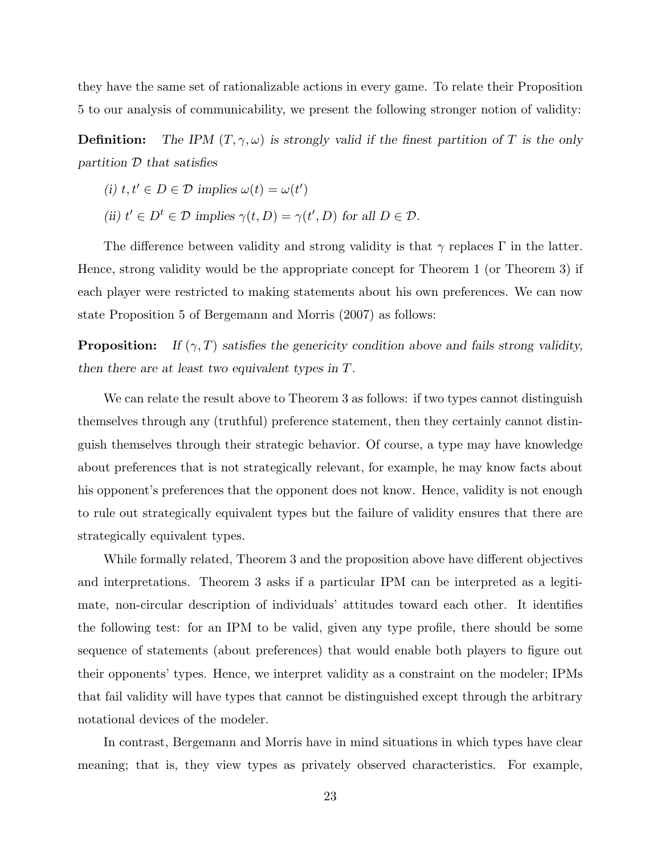they have the same set of rationalizable actions in every game. To relate their Proposition 5 to our analysis of communicability, we present the following stronger notion of validity:

**Definition:** The IPM  $(T, \gamma, \omega)$  is strongly valid if the finest partition of T is the only partition  $D$  that satisfies

(i) 
$$
t, t' \in D \in \mathcal{D}
$$
 implies  $\omega(t) = \omega(t')$ 

(ii)  $t' \in D^t \in \mathcal{D}$  implies  $\gamma(t, D) = \gamma(t', D)$  for all  $D \in \mathcal{D}$ .

The difference between validity and strong validity is that  $\gamma$  replaces Γ in the latter. Hence, strong validity would be the appropriate concept for Theorem 1 (or Theorem 3) if each player were restricted to making statements about his own preferences. We can now state Proposition 5 of Bergemann and Morris (2007) as follows:

**Proposition:** If  $(\gamma, T)$  satisfies the genericity condition above and fails strong validity, then there are at least two equivalent types in T.

We can relate the result above to Theorem 3 as follows: if two types cannot distinguish themselves through any (truthful) preference statement, then they certainly cannot distinguish themselves through their strategic behavior. Of course, a type may have knowledge about preferences that is not strategically relevant, for example, he may know facts about his opponent's preferences that the opponent does not know. Hence, validity is not enough to rule out strategically equivalent types but the failure of validity ensures that there are strategically equivalent types.

While formally related, Theorem 3 and the proposition above have different objectives and interpretations. Theorem 3 asks if a particular IPM can be interpreted as a legitimate, non-circular description of individuals' attitudes toward each other. It identifies the following test: for an IPM to be valid, given any type profile, there should be some sequence of statements (about preferences) that would enable both players to figure out their opponents' types. Hence, we interpret validity as a constraint on the modeler; IPMs that fail validity will have types that cannot be distinguished except through the arbitrary notational devices of the modeler.

In contrast, Bergemann and Morris have in mind situations in which types have clear meaning; that is, they view types as privately observed characteristics. For example,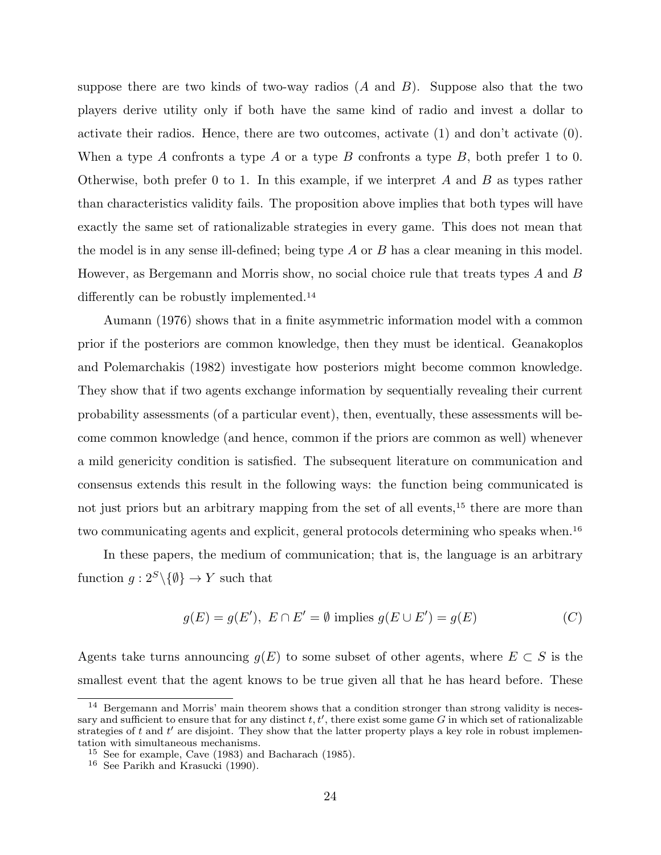suppose there are two kinds of two-way radios  $(A \text{ and } B)$ . Suppose also that the two players derive utility only if both have the same kind of radio and invest a dollar to activate their radios. Hence, there are two outcomes, activate (1) and don't activate (0). When a type A confronts a type A or a type B confronts a type B, both prefer 1 to 0. Otherwise, both prefer 0 to 1. In this example, if we interpret A and B as types rather than characteristics validity fails. The proposition above implies that both types will have exactly the same set of rationalizable strategies in every game. This does not mean that the model is in any sense ill-defined; being type  $A$  or  $B$  has a clear meaning in this model. However, as Bergemann and Morris show, no social choice rule that treats types A and B differently can be robustly implemented.<sup>14</sup>

Aumann (1976) shows that in a finite asymmetric information model with a common prior if the posteriors are common knowledge, then they must be identical. Geanakoplos and Polemarchakis (1982) investigate how posteriors might become common knowledge. They show that if two agents exchange information by sequentially revealing their current probability assessments (of a particular event), then, eventually, these assessments will become common knowledge (and hence, common if the priors are common as well) whenever a mild genericity condition is satisfied. The subsequent literature on communication and consensus extends this result in the following ways: the function being communicated is not just priors but an arbitrary mapping from the set of all events,<sup>15</sup> there are more than two communicating agents and explicit, general protocols determining who speaks when.<sup>16</sup>

In these papers, the medium of communication; that is, the language is an arbitrary function  $g: 2<sup>S</sup> \setminus \{ \emptyset \} \to Y$  such that

$$
g(E) = g(E'), E \cap E' = \emptyset
$$
 implies  $g(E \cup E') = g(E)$  (C)

Agents take turns announcing  $g(E)$  to some subset of other agents, where  $E \subset S$  is the smallest event that the agent knows to be true given all that he has heard before. These

<sup>&</sup>lt;sup>14</sup> Bergemann and Morris' main theorem shows that a condition stronger than strong validity is necessary and sufficient to ensure that for any distinct  $t, t'$ , there exist some game G in which set of rationalizable strategies of t and  $t'$  are disjoint. They show that the latter property plays a key role in robust implementation with simultaneous mechanisms.

<sup>15</sup> See for example, Cave (1983) and Bacharach (1985).

<sup>16</sup> See Parikh and Krasucki (1990).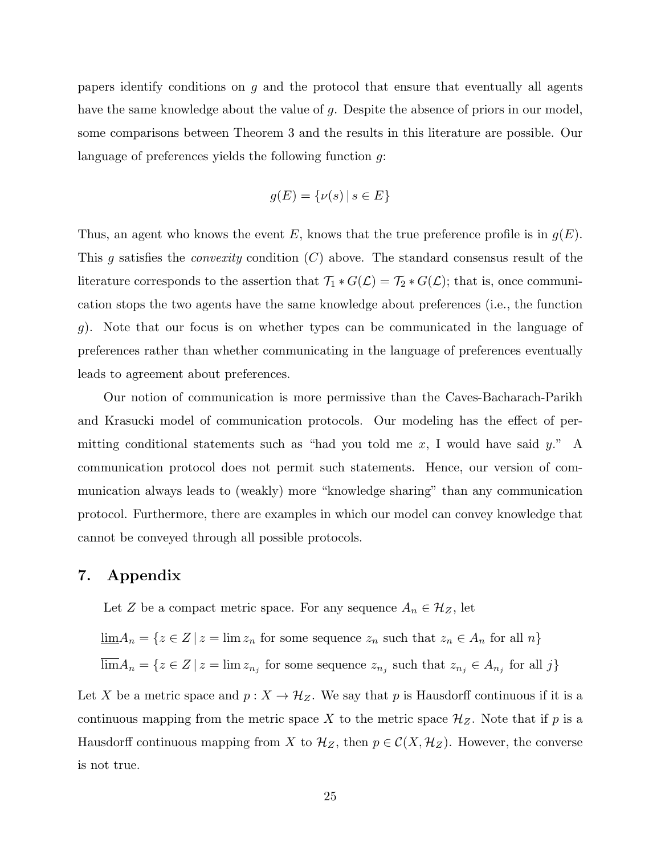papers identify conditions on g and the protocol that ensure that eventually all agents have the same knowledge about the value of g. Despite the absence of priors in our model, some comparisons between Theorem 3 and the results in this literature are possible. Our language of preferences yields the following function q:

$$
g(E) = \{\nu(s) \mid s \in E\}
$$

Thus, an agent who knows the event E, knows that the true preference profile is in  $g(E)$ . This q satisfies the *convexity* condition  $(C)$  above. The standard consensus result of the literature corresponds to the assertion that  $\mathcal{T}_1 * G(\mathcal{L}) = \mathcal{T}_2 * G(\mathcal{L})$ ; that is, once communication stops the two agents have the same knowledge about preferences (i.e., the function g). Note that our focus is on whether types can be communicated in the language of preferences rather than whether communicating in the language of preferences eventually leads to agreement about preferences.

Our notion of communication is more permissive than the Caves-Bacharach-Parikh and Krasucki model of communication protocols. Our modeling has the effect of permitting conditional statements such as "had you told me  $x$ , I would have said  $y$ ." A communication protocol does not permit such statements. Hence, our version of communication always leads to (weakly) more "knowledge sharing" than any communication protocol. Furthermore, there are examples in which our model can convey knowledge that cannot be conveyed through all possible protocols.

## 7. Appendix

Let Z be a compact metric space. For any sequence  $A_n \in \mathcal{H}_Z$ , let

 $\underline{\lim}A_n = \{z \in Z \mid z = \lim z_n \text{ for some sequence } z_n \text{ such that } z_n \in A_n \text{ for all } n\}$ 

 $\lim A_n = \{z \in \mathbb{Z} \mid z = \lim z_{n_j} \text{ for some sequence } z_{n_j} \text{ such that } z_{n_j} \in A_{n_j} \text{ for all } j\}$ 

Let X be a metric space and  $p: X \to \mathcal{H}_Z$ . We say that p is Hausdorff continuous if it is a continuous mapping from the metric space X to the metric space  $\mathcal{H}_Z$ . Note that if p is a Hausdorff continuous mapping from X to  $\mathcal{H}_Z$ , then  $p \in \mathcal{C}(X, \mathcal{H}_Z)$ . However, the converse is not true.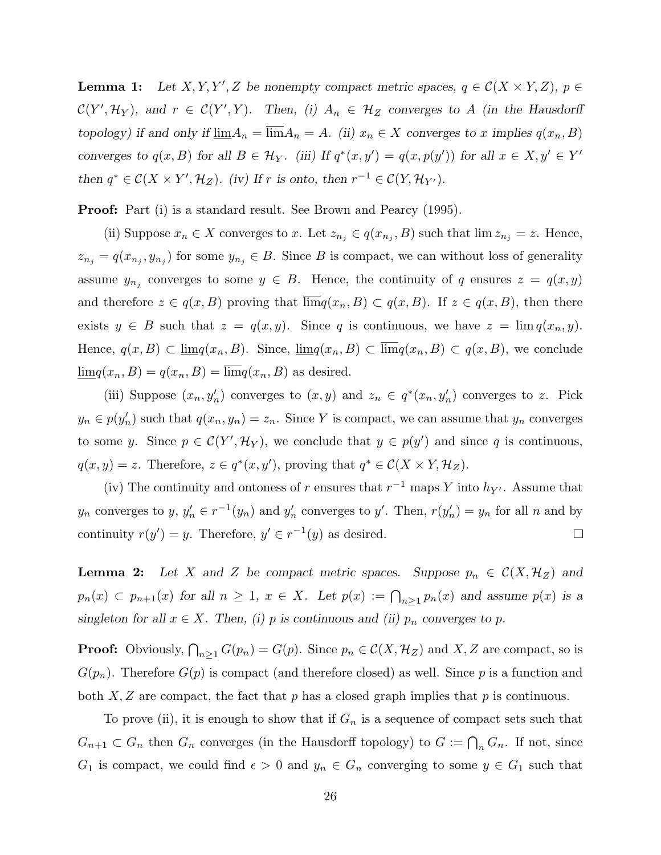**Lemma 1:** Let X, Y, Y', Z be nonempty compact metric spaces,  $q \in \mathcal{C}(X \times Y, Z)$ ,  $p \in$  $\mathcal{C}(Y', \mathcal{H}_Y)$ , and  $r \in \mathcal{C}(Y', Y)$ . Then, (i)  $A_n \in \mathcal{H}_Z$  converges to A (in the Hausdorff topology) if and only if  $\underline{\lim} A_n = \overline{\lim} A_n = A$ . (ii)  $x_n \in X$  converges to x implies  $q(x_n, B)$ converges to  $q(x, B)$  for all  $B \in \mathcal{H}_Y$ . (iii) If  $q^*(x, y') = q(x, p(y'))$  for all  $x \in X, y' \in Y'$ then  $q^* \in \mathcal{C}(X \times Y', \mathcal{H}_Z)$ . (iv) If r is onto, then  $r^{-1} \in \mathcal{C}(Y, \mathcal{H}_{Y'})$ .

Proof: Part (i) is a standard result. See Brown and Pearcy (1995).

(ii) Suppose  $x_n \in X$  converges to x. Let  $z_{n_j} \in q(x_{n_j}, B)$  such that  $\lim z_{n_j} = z$ . Hence,  $z_{n_j} = q(x_{n_j}, y_{n_j})$  for some  $y_{n_j} \in B$ . Since B is compact, we can without loss of generality assume  $y_{n_j}$  converges to some  $y \in B$ . Hence, the continuity of q ensures  $z = q(x, y)$ and therefore  $z \in q(x, B)$  proving that  $\lim q(x_n, B) \subset q(x, B)$ . If  $z \in q(x, B)$ , then there exists  $y \in B$  such that  $z = q(x, y)$ . Since q is continuous, we have  $z = \lim q(x_n, y)$ . Hence,  $q(x, B) \subset \underline{\lim} q(x_n, B)$ . Since,  $\underline{\lim} q(x_n, B) \subset \overline{\lim} q(x_n, B) \subset q(x, B)$ , we conclude  $\underline{\lim} q(x_n, B) = q(x_n, B) = \overline{\lim} q(x_n, B)$  as desired.

(iii) Suppose  $(x_n, y'_n)$  converges to  $(x, y)$  and  $z_n \in q^*(x_n, y'_n)$  converges to z. Pick  $y_n \in p(y'_n)$  such that  $q(x_n, y_n) = z_n$ . Since Y is compact, we can assume that  $y_n$  converges to some y. Since  $p \in \mathcal{C}(Y', \mathcal{H}_Y)$ , we conclude that  $y \in p(y')$  and since q is continuous,  $q(x, y) = z$ . Therefore,  $z \in q^*(x, y')$ , proving that  $q^* \in \mathcal{C}(X \times Y, \mathcal{H}_Z)$ .

(iv) The continuity and ontoness of r ensures that  $r^{-1}$  maps Y into  $h_{Y'}$ . Assume that  $y_n$  converges to  $y, y'_n \in r^{-1}(y_n)$  and  $y'_n$  converges to  $y'$ . Then,  $r(y'_n) = y_n$  for all n and by continuity  $r(y') = y$ . Therefore,  $y' \in r^{-1}(y)$  as desired.  $\Box$ 

**Lemma 2:** Let X and Z be compact metric spaces. Suppose  $p_n \in C(X, \mathcal{H}_Z)$  and  $p_n(x) \subset p_{n+1}(x)$  for all  $n \ge 1$ ,  $x \in X$ . Let  $p(x) := \bigcap_{n \ge 1} p_n(x)$  and assume  $p(x)$  is a singleton for all  $x \in X$ . Then, (i) p is continuous and (ii)  $p_n$  converges to p.

**Proof:** Obviously,  $\bigcap_{n\geq 1} G(p_n) = G(p)$ . Since  $p_n \in \mathcal{C}(X, \mathcal{H}_Z)$  and X, Z are compact, so is  $G(p_n)$ . Therefore  $G(p)$  is compact (and therefore closed) as well. Since p is a function and both  $X, Z$  are compact, the fact that p has a closed graph implies that p is continuous.

To prove (ii), it is enough to show that if  $G_n$  is a sequence of compact sets such that  $G_{n+1} \subset G_n$  then  $G_n$  converges (in the Hausdorff topology) to  $G := \bigcap_n G_n$ . If not, since  $G_1$  is compact, we could find  $\epsilon > 0$  and  $y_n \in G_n$  converging to some  $y \in G_1$  such that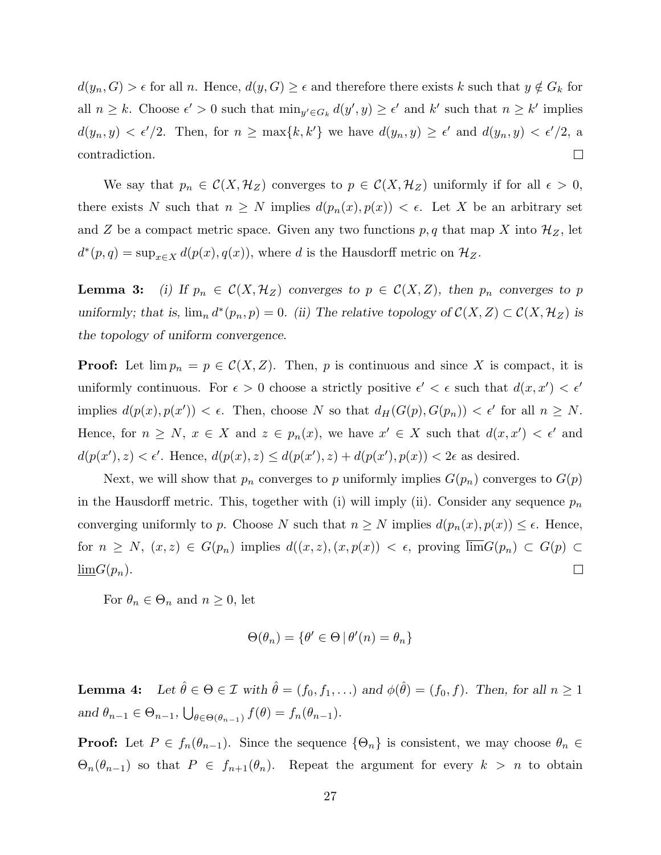$d(y_n, G) > \epsilon$  for all n. Hence,  $d(y, G) \geq \epsilon$  and therefore there exists k such that  $y \notin G_k$  for all  $n \geq k$ . Choose  $\epsilon' > 0$  such that  $\min_{y' \in G_k} d(y', y) \geq \epsilon'$  and  $k'$  such that  $n \geq k'$  implies  $d(y_n, y) < \epsilon'/2$ . Then, for  $n \ge \max\{k, k'\}$  we have  $d(y_n, y) \ge \epsilon'$  and  $d(y_n, y) < \epsilon'/2$ , a contradiction.  $\Box$ 

We say that  $p_n \in \mathcal{C}(X, \mathcal{H}_Z)$  converges to  $p \in \mathcal{C}(X, \mathcal{H}_Z)$  uniformly if for all  $\epsilon > 0$ , there exists N such that  $n \geq N$  implies  $d(p_n(x), p(x)) < \epsilon$ . Let X be an arbitrary set and Z be a compact metric space. Given any two functions  $p, q$  that map X into  $\mathcal{H}_Z$ , let  $d^*(p,q) = \sup_{x \in X} d(p(x), q(x))$ , where d is the Hausdorff metric on  $\mathcal{H}_Z$ .

**Lemma 3:** (i) If  $p_n \in C(X, \mathcal{H}_Z)$  converges to  $p \in C(X, Z)$ , then  $p_n$  converges to p uniformly; that is,  $\lim_{n} d^{*}(p_{n}, p) = 0$ . (ii) The relative topology of  $\mathcal{C}(X, Z) \subset \mathcal{C}(X, \mathcal{H}_{Z})$  is the topology of uniform convergence.

**Proof:** Let  $\lim p_n = p \in \mathcal{C}(X, Z)$ . Then, p is continuous and since X is compact, it is uniformly continuous. For  $\epsilon > 0$  choose a strictly positive  $\epsilon' < \epsilon$  such that  $d(x, x') < \epsilon'$ implies  $d(p(x), p(x')) < \epsilon$ . Then, choose N so that  $d_H(G(p), G(p_n)) < \epsilon'$  for all  $n \geq N$ . Hence, for  $n \geq N$ ,  $x \in X$  and  $z \in p_n(x)$ , we have  $x' \in X$  such that  $d(x, x') < \epsilon'$  and  $d(p(x'), z) < \epsilon'$ . Hence,  $d(p(x), z) \leq d(p(x'), z) + d(p(x'), p(x)) < 2\epsilon$  as desired.

Next, we will show that  $p_n$  converges to p uniformly implies  $G(p_n)$  converges to  $G(p)$ in the Hausdorff metric. This, together with (i) will imply (ii). Consider any sequence  $p_n$ converging uniformly to p. Choose N such that  $n \geq N$  implies  $d(p_n(x), p(x)) \leq \epsilon$ . Hence, for  $n \geq N$ ,  $(x, z) \in G(p_n)$  implies  $d((x, z), (x, p(x)) < \epsilon$ , proving  $\overline{\lim}G(p_n) \subset G(p)$  $\underline{\lim}G(p_n).$  $\Box$ 

For  $\theta_n \in \Theta_n$  and  $n \geq 0$ , let

$$
\Theta(\theta_n) = \{ \theta' \in \Theta \, | \, \theta'(n) = \theta_n \}
$$

**Lemma 4:** Let  $\hat{\theta} \in \Theta \in \mathcal{I}$  with  $\hat{\theta} = (f_0, f_1, \ldots)$  and  $\phi(\hat{\theta}) = (f_0, f)$ . Then, for all  $n \ge 1$ and  $\theta_{n-1} \in \Theta_{n-1}$ , S  $\theta \in \Theta(\theta_{n-1})$   $f(\theta) = f_n(\theta_{n-1}).$ 

**Proof:** Let  $P \in f_n(\theta_{n-1})$ . Since the sequence  $\{\Theta_n\}$  is consistent, we may choose  $\theta_n \in$  $\Theta_n(\theta_{n-1})$  so that  $P \in f_{n+1}(\theta_n)$ . Repeat the argument for every  $k > n$  to obtain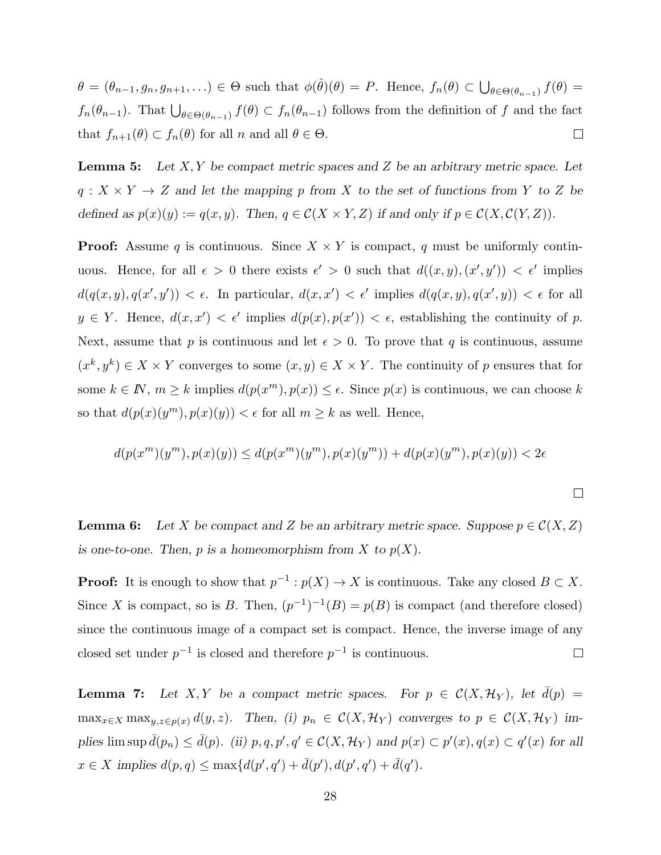$\theta = (\theta_{n-1}, g_n, g_{n+1}, ...) \in \Theta$  such that  $\phi(\hat{\theta})(\theta) = P$ . Hence,  $f_n(\theta) \subset \bigcup$  $\theta \in \Theta(\theta_{n-1})$   $f(\theta) =$  $f_n(\theta_{n-1})$ . That  $\bigcup_{\theta \in \Theta(\theta_{n-1})} f(\theta) \subset f_n(\theta_{n-1})$  follows from the definition of f and the fact that  $f_{n+1}(\theta) \subset f_n(\theta)$  for all  $n$  and all  $\theta \in \Theta$ .  $\Box$ 

**Lemma 5:** Let  $X, Y$  be compact metric spaces and  $Z$  be an arbitrary metric space. Let  $q: X \times Y \to Z$  and let the mapping p from X to the set of functions from Y to Z be defined as  $p(x)(y) := q(x, y)$ . Then,  $q \in \mathcal{C}(X \times Y, Z)$  if and only if  $p \in \mathcal{C}(X, \mathcal{C}(Y, Z))$ .

**Proof:** Assume q is continuous. Since  $X \times Y$  is compact, q must be uniformly continuous. Hence, for all  $\epsilon > 0$  there exists  $\epsilon' > 0$  such that  $d((x, y), (x', y')) < \epsilon'$  implies  $d(q(x, y), q(x', y')) < \epsilon$ . In particular,  $d(x, x') < \epsilon'$  implies  $d(q(x, y), q(x', y)) < \epsilon$  for all  $y \in Y$ . Hence,  $d(x, x') < \epsilon'$  implies  $d(p(x), p(x')) < \epsilon$ , establishing the continuity of p. Next, assume that p is continuous and let  $\epsilon > 0$ . To prove that q is continuous, assume  $(x^k, y^k) \in X \times Y$  converges to some  $(x, y) \in X \times Y$ . The continuity of p ensures that for some  $k \in \mathbb{N}$ ,  $m \geq k$  implies  $d(p(x^m), p(x)) \leq \epsilon$ . Since  $p(x)$  is continuous, we can choose k so that  $d(p(x)(y^m), p(x)(y)) < \epsilon$  for all  $m \geq k$  as well. Hence,

$$
d(p(x^m)(y^m), p(x)(y)) \le d(p(x^m)(y^m), p(x)(y^m)) + d(p(x)(y^m), p(x)(y)) < 2\epsilon
$$

 $\Box$ 

**Lemma 6:** Let X be compact and Z be an arbitrary metric space. Suppose  $p \in C(X,Z)$ is one-to-one. Then, p is a homeomorphism from X to  $p(X)$ .

**Proof:** It is enough to show that  $p^{-1}: p(X) \to X$  is continuous. Take any closed  $B \subset X$ . Since X is compact, so is B. Then,  $(p^{-1})^{-1}(B) = p(B)$  is compact (and therefore closed) since the continuous image of a compact set is compact. Hence, the inverse image of any closed set under  $p^{-1}$  is closed and therefore  $p^{-1}$  is continuous.  $\Box$ 

**Lemma 7:** Let X, Y be a compact metric spaces. For  $p \in C(X, \mathcal{H}_Y)$ , let  $\bar{d}(p)$  =  $\max_{x\in X} \max_{y,z\in p(x)} d(y,z)$ . Then, (i)  $p_n \in C(X, \mathcal{H}_Y)$  converges to  $p \in C(X, \mathcal{H}_Y)$  implies  $\limsup \bar{d}(p_n) \leq \bar{d}(p)$ . (ii)  $p, q, p', q' \in \mathcal{C}(X, \mathcal{H}_Y)$  and  $p(x) \subset p'(x), q(x) \subset q'(x)$  for all  $x \in X$  implies  $d(p, q) \le \max\{d(p', q') + \bar{d}(p', d'(q', q')) + \bar{d}(q')\}.$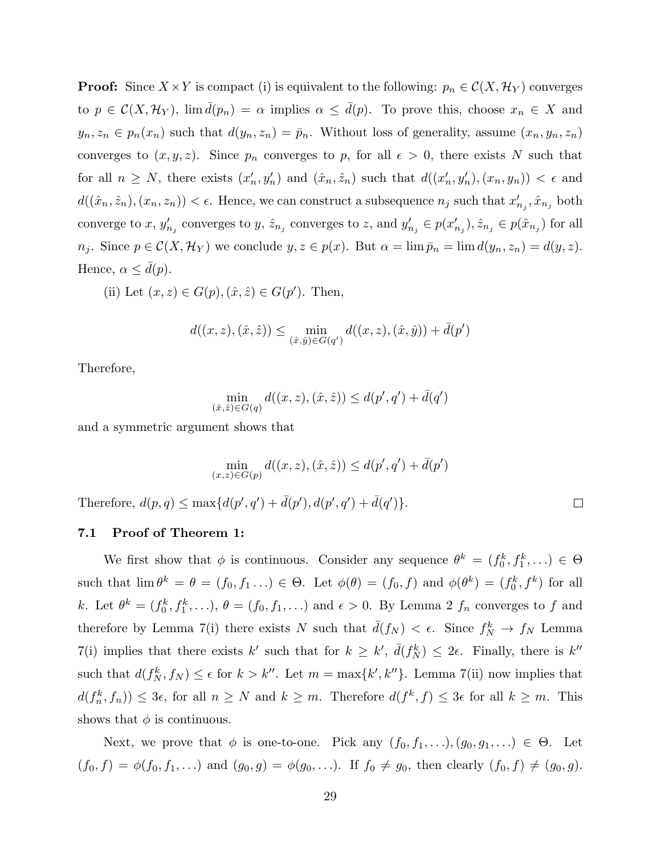**Proof:** Since  $X \times Y$  is compact (i) is equivalent to the following:  $p_n \in C(X, \mathcal{H}_Y)$  converges to  $p \in \mathcal{C}(X, \mathcal{H}_Y)$ ,  $\lim \bar{d}(p_n) = \alpha$  implies  $\alpha \le \bar{d}(p)$ . To prove this, choose  $x_n \in X$  and  $y_n, z_n \in p_n(x_n)$  such that  $d(y_n, z_n) = \bar{p}_n$ . Without loss of generality, assume  $(x_n, y_n, z_n)$ converges to  $(x, y, z)$ . Since  $p_n$  converges to p, for all  $\epsilon > 0$ , there exists N such that for all  $n \geq N$ , there exists  $(x'_n, y'_n)$  and  $(\hat{x}_n, \hat{z}_n)$  such that  $d((x'_n, y'_n), (x_n, y_n)) < \epsilon$  and  $d((\hat{x}_n, \hat{z}_n), (x_n, z_n)) < \epsilon$ . Hence, we can construct a subsequence  $n_j$  such that  $x'_{n_j}, \hat{x}_{n_j}$  both converge to x,  $y'_{n_j}$  converges to y,  $\hat{z}_{n_j}$  converges to z, and  $y'_{n_j} \in p(x'_{n_j}), \hat{z}_{n_j} \in p(\hat{x}_{n_j})$  for all  $n_j$ . Since  $p \in \mathcal{C}(X, \mathcal{H}_Y)$  we conclude  $y, z \in p(x)$ . But  $\alpha = \lim \bar{p}_n = \lim d(y_n, z_n) = d(y, z)$ . Hence,  $\alpha \leq d(p)$ .

(ii) Let  $(x, z) \in G(p), (\hat{x}, \hat{z}) \in G(p')$ . Then,

$$
d((x, z), (\hat{x}, \hat{z})) \le \min_{(\hat{x}, \hat{y}) \in G(q')} d((x, z), (\hat{x}, \hat{y})) + \bar{d}(p')
$$

Therefore,

$$
\min_{(\hat{x}, \hat{z}) \in G(q)} d((x, z), (\hat{x}, \hat{z})) \le d(p', q') + \bar{d}(q')
$$

and a symmetric argument shows that

$$
\min_{(x,z)\in G(p)} d((x,z),(\hat{x},\hat{z})) \le d(p',q') + \bar{d}(p')
$$
  
Therefore,  $d(p,q) \le \max\{d(p',q') + \bar{d}(p'),d(p',q') + \bar{d}(q')\}.$ 

7.1 Proof of Theorem 1:

We first show that  $\phi$  is continuous. Consider any sequence  $\theta^k = (f_0^k, f_1^k, \ldots) \in \Theta$ such that  $\lim \theta^k = \theta = (f_0, f_1 \dots) \in \Theta$ . Let  $\phi(\theta) = (f_0, f)$  and  $\phi(\theta^k) = (f_0^k, f^k)$  for all k. Let  $\theta^k = (f_0^k, f_1^k, \ldots), \theta = (f_0, f_1, \ldots)$  and  $\epsilon > 0$ . By Lemma 2  $f_n$  converges to f and therefore by Lemma 7(i) there exists N such that  $\bar{d}(f_N) < \epsilon$ . Since  $f_N^k \to f_N$  Lemma 7(i) implies that there exists k' such that for  $k \geq k'$ ,  $\bar{d}(f_N^k) \leq 2\epsilon$ . Finally, there is k'' such that  $d(f_N^k, f_N) \leq \epsilon$  for  $k > k''$ . Let  $m = \max\{k', k''\}$ . Lemma 7(ii) now implies that  $d(f_n^k, f_n) \leq 3\epsilon$ , for all  $n \geq N$  and  $k \geq m$ . Therefore  $d(f^k, f) \leq 3\epsilon$  for all  $k \geq m$ . This shows that  $\phi$  is continuous.

Next, we prove that  $\phi$  is one-to-one. Pick any  $(f_0, f_1, \ldots), (g_0, g_1, \ldots) \in \Theta$ . Let  $(f_0, f) = \phi(f_0, f_1, \ldots)$  and  $(g_0, g) = \phi(g_0, \ldots)$ . If  $f_0 \neq g_0$ , then clearly  $(f_0, f) \neq (g_0, g)$ .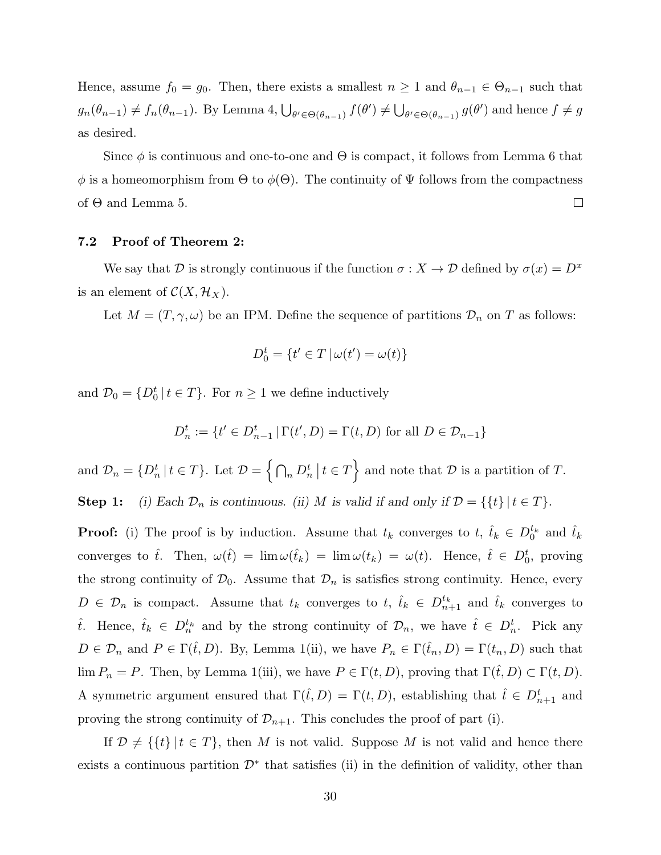Hence, assume  $f_0 = g_0$ . Then, there exists a smallest  $n \geq 1$  and  $\theta_{n-1} \in \Theta_{n-1}$  such that  $g_n(\theta_{n-1}) \neq f_n(\theta_{n-1})$ . By Lemma 4,  $\bigcup_{\theta' \in \Theta(\theta_{n-1})} f(\theta') \neq$ S  $\theta' \in \Theta(\theta_{n-1})$   $g(\theta')$  and hence  $f \neq g$ as desired.

Since  $\phi$  is continuous and one-to-one and  $\Theta$  is compact, it follows from Lemma 6 that  $\phi$  is a homeomorphism from  $\Theta$  to  $\phi(\Theta)$ . The continuity of  $\Psi$  follows from the compactness of Θ and Lemma 5.  $\Box$ 

### 7.2 Proof of Theorem 2:

We say that D is strongly continuous if the function  $\sigma : X \to \mathcal{D}$  defined by  $\sigma(x) = D^x$ is an element of  $\mathcal{C}(X, \mathcal{H}_X)$ .

Let  $M = (T, \gamma, \omega)$  be an IPM. Define the sequence of partitions  $\mathcal{D}_n$  on T as follows:

$$
D_0^t = \{ t' \in T \, | \, \omega(t') = \omega(t) \}
$$

and  $\mathcal{D}_0 = \{D_0^t | t \in T\}$ . For  $n \geq 1$  we define inductively

$$
D_n^t := \{ t' \in D_{n-1}^t \, | \, \Gamma(t', D) = \Gamma(t, D) \text{ for all } D \in \mathcal{D}_{n-1} \}
$$

and  $\mathcal{D}_n = \{D_n^t \mid t \in T\}$ . Let  $\mathcal{D} =$  $\overline{a}$  $n\,D_n^t$  $\vert t \in T$ o and note that  $\mathcal D$  is a partition of  $T$ .

**Step 1:** (i) Each  $\mathcal{D}_n$  is continuous. (ii) M is valid if and only if  $\mathcal{D} = \{\{t\} | t \in T\}$ .

**Proof:** (i) The proof is by induction. Assume that  $t_k$  converges to  $t, \hat{t}_k \in D_0^{t_k}$  and  $\hat{t}_k$ converges to  $\hat{t}$ . Then,  $\omega(\hat{t}) = \lim \omega(\hat{t}_k) = \lim \omega(t_k) = \omega(t)$ . Hence,  $\hat{t} \in D_0^t$ , proving the strong continuity of  $\mathcal{D}_0$ . Assume that  $\mathcal{D}_n$  is satisfies strong continuity. Hence, every  $D \in \mathcal{D}_n$  is compact. Assume that  $t_k$  converges to  $t, \hat{t}_k \in D_{n+1}^{t_k}$  and  $\hat{t}_k$  converges to that if the strong continuity of  $\mathcal{D}_n$ , we have  $\hat{t} \in D_n^t$ . Pick any  $D \in \mathcal{D}_n$  and  $P \in \Gamma(\hat{t}, D)$ . By, Lemma 1(ii), we have  $P_n \in \Gamma(\hat{t}_n, D) = \Gamma(t_n, D)$  such that lim  $P_n = P$ . Then, by Lemma 1(iii), we have  $P \in \Gamma(t, D)$ , proving that  $\Gamma(\hat{t}, D) \subset \Gamma(t, D)$ . A symmetric argument ensured that  $\Gamma(\hat{t}, D) = \Gamma(t, D)$ , establishing that  $\hat{t} \in D_{n+1}^t$  and proving the strong continuity of  $\mathcal{D}_{n+1}$ . This concludes the proof of part (i).

If  $\mathcal{D} \neq \{ \{t\} | t \in T \}$ , then M is not valid. Suppose M is not valid and hence there exists a continuous partition  $\mathcal{D}^*$  that satisfies (ii) in the definition of validity, other than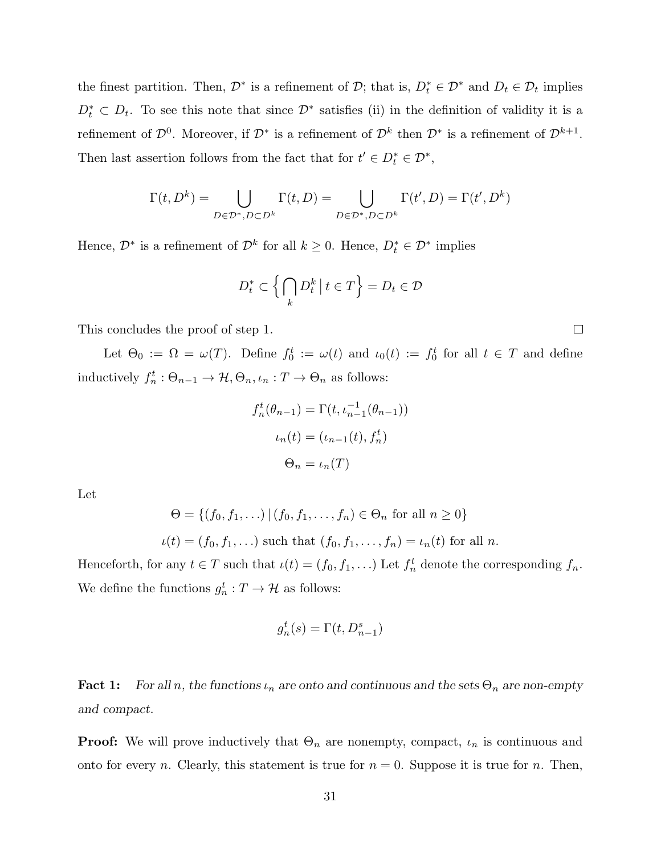the finest partition. Then,  $\mathcal{D}^*$  is a refinement of  $\mathcal{D}$ ; that is,  $D_t^* \in \mathcal{D}^*$  and  $D_t \in \mathcal{D}_t$  implies  $D_t^* \subset D_t$ . To see this note that since  $\mathcal{D}^*$  satisfies (ii) in the definition of validity it is a refinement of  $\mathcal{D}^0$ . Moreover, if  $\mathcal{D}^*$  is a refinement of  $\mathcal{D}^k$  then  $\mathcal{D}^*$  is a refinement of  $\mathcal{D}^{k+1}$ . Then last assertion follows from the fact that for  $t' \in D_t^* \in \mathcal{D}^*$ ,

$$
\Gamma(t, D^k) = \bigcup_{D \in \mathcal{D}^*, D \subset D^k} \Gamma(t, D) = \bigcup_{D \in \mathcal{D}^*, D \subset D^k} \Gamma(t', D) = \Gamma(t', D^k)
$$

Hence,  $\mathcal{D}^*$  is a refinement of  $\mathcal{D}^k$  for all  $k \geq 0$ . Hence,  $D_t^* \in \mathcal{D}^*$  implies

$$
D_t^* \subset \left\{ \bigcap_k D_t^k \, \big| \, t \in T \right\} = D_t \in \mathcal{D}
$$

This concludes the proof of step 1.

Let  $\Theta_0 := \Omega = \omega(T)$ . Define  $f_0^t := \omega(t)$  and  $\iota_0(t) := f_0^t$  for all  $t \in T$  and define inductively  $f_n^t : \Theta_{n-1} \to \mathcal{H}, \Theta_n, \iota_n : T \to \Theta_n$  as follows:

$$
f_n^t(\theta_{n-1}) = \Gamma(t, \iota_{n-1}^{-1}(\theta_{n-1}))
$$

$$
\iota_n(t) = (\iota_{n-1}(t), f_n^t)
$$

$$
\Theta_n = \iota_n(T)
$$

Let

$$
\Theta = \{ (f_0, f_1, \ldots) \mid (f_0, f_1, \ldots, f_n) \in \Theta_n \text{ for all } n \ge 0 \}
$$
  

$$
\iota(t) = (f_0, f_1, \ldots) \text{ such that } (f_0, f_1, \ldots, f_n) = \iota_n(t) \text{ for all } n.
$$

Henceforth, for any  $t \in T$  such that  $\iota(t) = (f_0, f_1, \ldots)$  Let  $f_n^t$  denote the corresponding  $f_n$ . We define the functions  $g_n^t : T \to \mathcal{H}$  as follows:

$$
g_n^t(s) = \Gamma(t, D_{n-1}^s)
$$

**Fact 1:** For all n, the functions  $\iota_n$  are onto and continuous and the sets  $\Theta_n$  are non-empty and compact.

**Proof:** We will prove inductively that  $\Theta_n$  are nonempty, compact,  $\iota_n$  is continuous and onto for every n. Clearly, this statement is true for  $n = 0$ . Suppose it is true for n. Then,

 $\Box$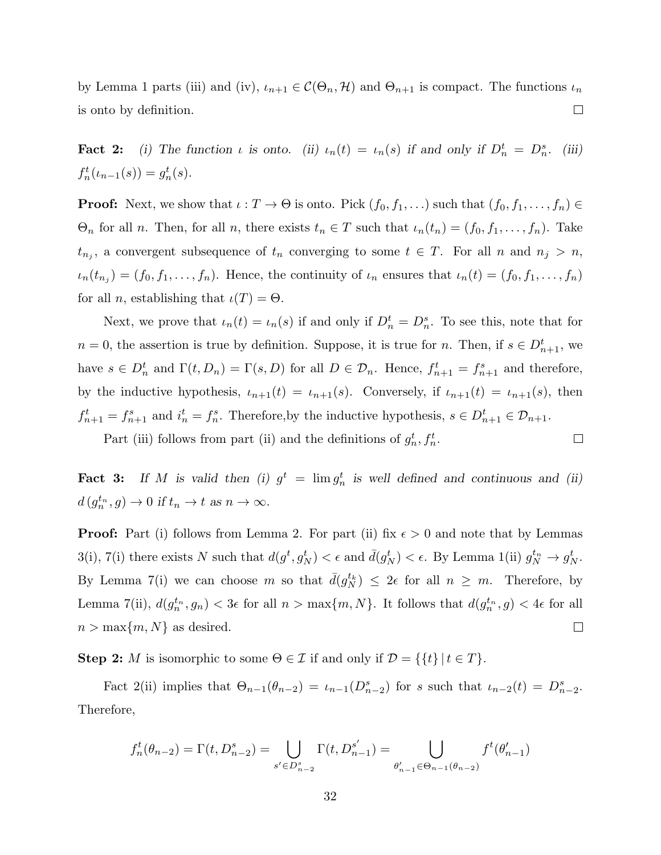by Lemma 1 parts (iii) and (iv),  $\iota_{n+1} \in C(\Theta_n, \mathcal{H})$  and  $\Theta_{n+1}$  is compact. The functions  $\iota_n$  $\Box$ is onto by definition.

**Fact 2:** (i) The function  $\iota$  is onto. (ii)  $\iota_n(t) = \iota_n(s)$  if and only if  $D_n^t = D_n^s$ . (iii)  $f_n^t(\iota_{n-1}(s)) = g_n^t(s).$ 

**Proof:** Next, we show that  $\iota : T \to \Theta$  is onto. Pick  $(f_0, f_1, \ldots)$  such that  $(f_0, f_1, \ldots, f_n) \in$  $\Theta_n$  for all n. Then, for all n, there exists  $t_n \in T$  such that  $\iota_n(t_n) = (f_0, f_1, \ldots, f_n)$ . Take  $t_{n_j}$ , a convergent subsequence of  $t_n$  converging to some  $t \in T$ . For all n and  $n_j > n$ ,  $u_n(t_{n_j}) = (f_0, f_1, \ldots, f_n)$ . Hence, the continuity of  $u_n$  ensures that  $u_n(t) = (f_0, f_1, \ldots, f_n)$ for all *n*, establishing that  $\iota(T) = \Theta$ .

Next, we prove that  $\iota_n(t) = \iota_n(s)$  if and only if  $D_n^t = D_n^s$ . To see this, note that for  $n = 0$ , the assertion is true by definition. Suppose, it is true for n. Then, if  $s \in D_{n+1}^t$ , we have  $s \in D_n^t$  and  $\Gamma(t, D_n) = \Gamma(s, D)$  for all  $D \in \mathcal{D}_n$ . Hence,  $f_{n+1}^t = f_{n+1}^s$  and therefore, by the inductive hypothesis,  $u_{n+1}(t) = u_{n+1}(s)$ . Conversely, if  $u_{n+1}(t) = u_{n+1}(s)$ , then  $f_{n+1}^t = f_{n+1}^s$  and  $i_n^t = f_n^s$ . Therefore, by the inductive hypothesis,  $s \in D_{n+1}^t \in \mathcal{D}_{n+1}$ .

Part (iii) follows from part (ii) and the definitions of  $g_n^t, f_n^t$ .

**Fact 3:** If M is valid then (i)  $g^t = \lim g_n^t$  is well defined and continuous and (ii)  $d(g_n^{t_n}, g) \to 0$  if  $t_n \to t$  as  $n \to \infty$ .

 $\Box$ 

**Proof:** Part (i) follows from Lemma 2. For part (ii) fix  $\epsilon > 0$  and note that by Lemmas  $3(i)$ ,  $7(i)$  there exists N such that  $d(g^t, g^t_N) < \epsilon$  and  $\bar{d}(g^t_N) < \epsilon$ . By Lemma 1(ii)  $g^{t_n}_N \to g^t_N$ . By Lemma 7(i) we can choose m so that  $\bar{d}(g_N^{t_k}) \leq 2\epsilon$  for all  $n \geq m$ . Therefore, by Lemma 7(ii),  $d(g_n^{t_n}, g_n) < 3\epsilon$  for all  $n > \max\{m, N\}$ . It follows that  $d(g_n^{t_n}, g) < 4\epsilon$  for all  $n > \max\{m, N\}$  as desired.  $\Box$ 

**Step 2:** *M* is isomorphic to some  $\Theta \in \mathcal{I}$  if and only if  $\mathcal{D} = \{\{t\} | t \in T\}.$ 

Fact 2(ii) implies that  $\Theta_{n-1}(\theta_{n-2}) = \iota_{n-1}(D_{n-2}^s)$  for s such that  $\iota_{n-2}(t) = D_{n-2}^s$ . Therefore,

$$
f_n^t(\theta_{n-2}) = \Gamma(t, D_{n-2}^s) = \bigcup_{s' \in D_{n-2}^s} \Gamma(t, D_{n-1}^{s'}) = \bigcup_{\theta'_{n-1} \in \Theta_{n-1}(\theta_{n-2})} f^t(\theta'_{n-1})
$$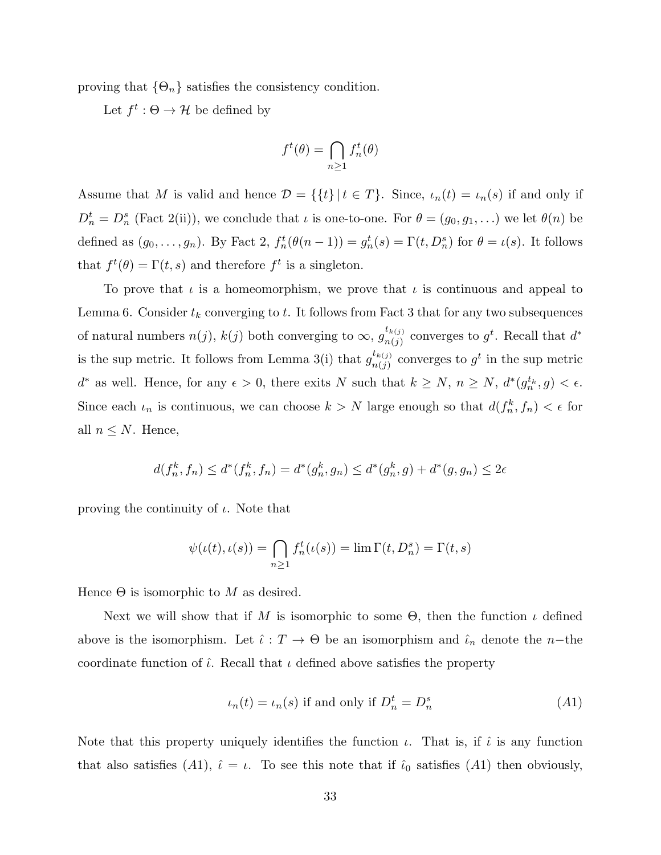proving that  $\{\Theta_n\}$  satisfies the consistency condition.

Let  $f^t : \Theta \to \mathcal{H}$  be defined by

$$
f^t(\theta) = \bigcap_{n \ge 1} f_n^t(\theta)
$$

Assume that M is valid and hence  $\mathcal{D} = \{\{t\} | t \in T\}$ . Since,  $\iota_n(t) = \iota_n(s)$  if and only if  $D_n^t = D_n^s$  (Fact 2(ii)), we conclude that  $\iota$  is one-to-one. For  $\theta = (g_0, g_1, \ldots)$  we let  $\theta(n)$  be defined as  $(g_0, \ldots, g_n)$ . By Fact 2,  $f_n^t(\theta(n-1)) = g_n^t(s) = \Gamma(t, D_n^s)$  for  $\theta = \iota(s)$ . It follows that  $f^t(\theta) = \Gamma(t, s)$  and therefore  $f^t$  is a singleton.

To prove that  $\iota$  is a homeomorphism, we prove that  $\iota$  is continuous and appeal to Lemma 6. Consider  $t_k$  converging to  $t$ . It follows from Fact 3 that for any two subsequences of natural numbers  $n(j)$ ,  $k(j)$  both converging to  $\infty$ ,  $g_{n(i)}^{t_{k(j)}}$  $\frac{t_{k(j)}}{n(j)}$  converges to  $g^t$ . Recall that  $d^*$ is the sup metric. It follows from Lemma 3(i) that  $g_{n(i)}^{t_{k(j)}}$  $\frac{t_{k(j)}}{n(j)}$  converges to  $g^t$  in the sup metric  $d^*$  as well. Hence, for any  $\epsilon > 0$ , there exits N such that  $k \geq N$ ,  $n \geq N$ ,  $d^*(g_n^{t_k}, g) < \epsilon$ . Since each  $\iota_n$  is continuous, we can choose  $k > N$  large enough so that  $d(f_n^k, f_n) < \epsilon$  for all  $n \leq N$ . Hence,

$$
d(f_n^k, f_n) \le d^*(f_n^k, f_n) = d^*(g_n^k, g_n) \le d^*(g_n^k, g) + d^*(g, g_n) \le 2\epsilon
$$

proving the continuity of  $\iota$ . Note that

$$
\psi(\iota(t), \iota(s)) = \bigcap_{n \ge 1} f_n^t(\iota(s)) = \lim \Gamma(t, D_n^s) = \Gamma(t, s)
$$

Hence  $\Theta$  is isomorphic to M as desired.

Next we will show that if M is isomorphic to some  $\Theta$ , then the function  $\iota$  defined above is the isomorphism. Let  $\hat{\iota}: T \to \Theta$  be an isomorphism and  $\hat{\iota}_n$  denote the n-the coordinate function of  $\hat{\iota}$ . Recall that  $\iota$  defined above satisfies the property

$$
u_n(t) = u_n(s) \text{ if and only if } D_n^t = D_n^s \tag{A1}
$$

Note that this property uniquely identifies the function  $\iota$ . That is, if  $\hat{\iota}$  is any function that also satisfies (A1),  $\hat{\iota} = \iota$ . To see this note that if  $\hat{\iota}_0$  satisfies (A1) then obviously,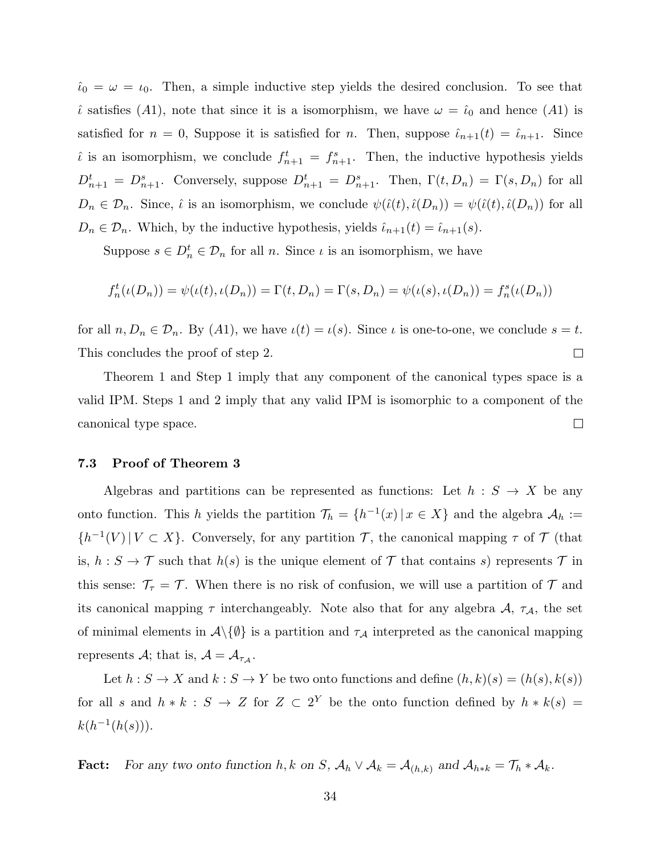$\hat{\iota}_0 = \omega = \iota_0$ . Then, a simple inductive step yields the desired conclusion. To see that  $\hat{\iota}$  satisfies (A1), note that since it is a isomorphism, we have  $\omega = \hat{\iota}_0$  and hence (A1) is satisfied for  $n = 0$ , Suppose it is satisfied for n. Then, suppose  $\hat{i}_{n+1}(t) = \hat{i}_{n+1}$ . Since is an isomorphism, we conclude  $f_{n+1}^t = f_{n+1}^s$ . Then, the inductive hypothesis yields  $D_{n+1}^t = D_{n+1}^s$ . Conversely, suppose  $D_{n+1}^t = D_{n+1}^s$ . Then,  $\Gamma(t, D_n) = \Gamma(s, D_n)$  for all  $D_n \in \mathcal{D}_n$ . Since,  $\hat{\iota}$  is an isomorphism, we conclude  $\psi(\hat{\iota}(t), \hat{\iota}(D_n)) = \psi(\hat{\iota}(t), \hat{\iota}(D_n))$  for all  $D_n \in \mathcal{D}_n$ . Which, by the inductive hypothesis, yields  $\hat{\iota}_{n+1}(t) = \hat{\iota}_{n+1}(s)$ .

Suppose  $s \in D_n^t \in \mathcal{D}_n$  for all n. Since  $\iota$  is an isomorphism, we have

$$
f_n^t(\iota(D_n)) = \psi(\iota(t), \iota(D_n)) = \Gamma(t, D_n) = \Gamma(s, D_n) = \psi(\iota(s), \iota(D_n)) = f_n^s(\iota(D_n))
$$

for all  $n, D_n \in \mathcal{D}_n$ . By  $(A1)$ , we have  $\iota(t) = \iota(s)$ . Since  $\iota$  is one-to-one, we conclude  $s = t$ .  $\Box$ This concludes the proof of step 2.

Theorem 1 and Step 1 imply that any component of the canonical types space is a valid IPM. Steps 1 and 2 imply that any valid IPM is isomorphic to a component of the  $\Box$ canonical type space.

#### 7.3 Proof of Theorem 3

Algebras and partitions can be represented as functions: Let  $h : S \to X$  be any onto function. This h yields the partition  $\mathcal{T}_h = \{h^{-1}(x) | x \in X\}$  and the algebra  $\mathcal{A}_h :=$  $\{h^{-1}(V) | V \subset X\}$ . Conversely, for any partition T, the canonical mapping  $\tau$  of T (that is,  $h : S \to T$  such that  $h(s)$  is the unique element of T that contains s) represents T in this sense:  $\mathcal{T}_{\tau} = \mathcal{T}$ . When there is no risk of confusion, we will use a partition of  $\mathcal{T}$  and its canonical mapping  $\tau$  interchangeably. Note also that for any algebra  $\mathcal{A}$ ,  $\tau_{\mathcal{A}}$ , the set of minimal elements in  $\mathcal{A}\backslash\{\emptyset\}$  is a partition and  $\tau_{\mathcal{A}}$  interpreted as the canonical mapping represents A; that is,  $A = A_{\tau_A}$ .

Let  $h: S \to X$  and  $k: S \to Y$  be two onto functions and define  $(h, k)(s) = (h(s), k(s))$ for all s and  $h * k : S \to Z$  for  $Z \subset 2^Y$  be the onto function defined by  $h * k(s) =$  $k(h^{-1}(h(s)))$ .

**Fact:** For any two onto function h, k on S,  $A_h \vee A_k = A_{(h,k)}$  and  $A_{h*k} = \mathcal{T}_h * A_k$ .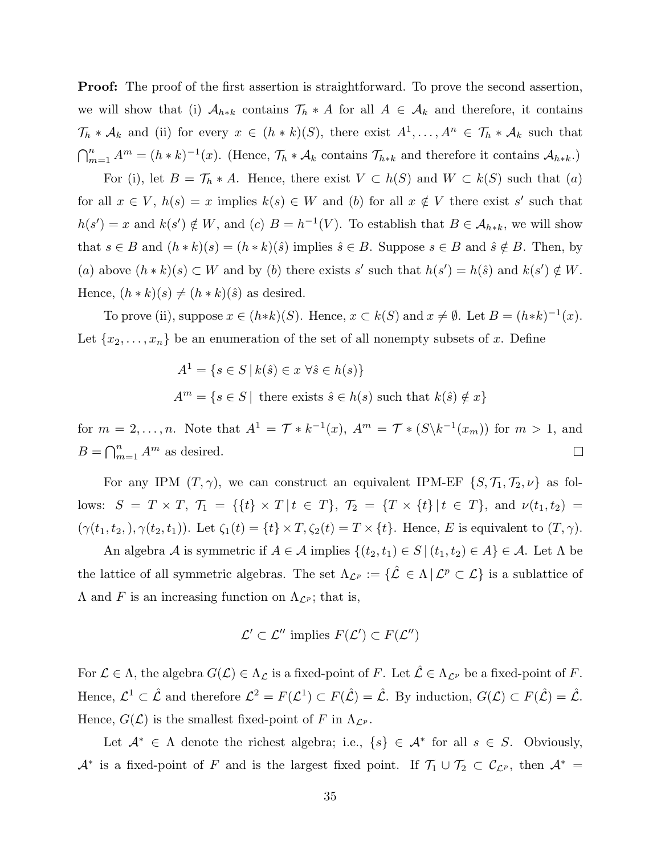**Proof:** The proof of the first assertion is straightforward. To prove the second assertion, we will show that (i)  $A_{h*k}$  contains  $\mathcal{T}_h * A$  for all  $A \in \mathcal{A}_k$  and therefore, it contains  $\mathcal{T}_h * \mathcal{A}_k$  and (ii) for every  $x \in (h * k)(S)$ , there exist  $A^1, \ldots, A^n \in \mathcal{T}_h * \mathcal{A}_k$  such that  $\bigcap_{m=1}^{n} A^{m} = (h * k)^{-1}(x)$ . (Hence,  $\mathcal{T}_{h} * \mathcal{A}_{k}$  contains  $\mathcal{T}_{h*k}$  and therefore it contains  $\mathcal{A}_{h*k}$ .)

For (i), let  $B = \mathcal{T}_h * A$ . Hence, there exist  $V \subset h(S)$  and  $W \subset k(S)$  such that  $(a)$ for all  $x \in V$ ,  $h(s) = x$  implies  $k(s) \in W$  and (b) for all  $x \notin V$  there exist s' such that  $h(s') = x$  and  $k(s') \notin W$ , and (c)  $B = h^{-1}(V)$ . To establish that  $B \in \mathcal{A}_{h*k}$ , we will show that  $s \in B$  and  $(h * k)(s) = (h * k)(\hat{s})$  implies  $\hat{s} \in B$ . Suppose  $s \in B$  and  $\hat{s} \notin B$ . Then, by (a) above  $(h * k)(s) \subset W$  and by (b) there exists s' such that  $h(s') = h(\hat{s})$  and  $k(s') \notin W$ . Hence,  $(h * k)(s) \neq (h * k)(\hat{s})$  as desired.

To prove (ii), suppose  $x \in (h*k)(S)$ . Hence,  $x \subset k(S)$  and  $x \neq \emptyset$ . Let  $B = (h*k)^{-1}(x)$ . Let  $\{x_2, \ldots, x_n\}$  be an enumeration of the set of all nonempty subsets of x. Define

$$
A1 = \{s \in S \mid k(\hat{s}) \in x \,\forall \hat{s} \in h(s)\}
$$
  

$$
Am = \{s \in S \mid \text{ there exists } \hat{s} \in h(s) \text{ such that } k(\hat{s}) \notin x\}
$$

for  $m = 2, \ldots, n$ . Note that  $A^1 = \mathcal{T} * k^{-1}(x)$ ,  $A^m = \mathcal{T} * (S \backslash k^{-1}(x_m))$  for  $m > 1$ , and  $B = \bigcap_{m=1}^n A^m$  as desired.  $\Box$ 

For any IPM  $(T, \gamma)$ , we can construct an equivalent IPM-EF  $\{S, \mathcal{T}_1, \mathcal{T}_2, \nu\}$  as follows:  $S = T \times T$ ,  $\mathcal{T}_1 = \{ \{t\} \times T | t \in T \}$ ,  $\mathcal{T}_2 = \{ T \times \{t\} | t \in T \}$ , and  $\nu(t_1, t_2) =$  $(\gamma(t_1, t_2,), \gamma(t_2, t_1))$ . Let  $\zeta_1(t) = \{t\} \times T, \zeta_2(t) = T \times \{t\}$ . Hence, E is equivalent to  $(T, \gamma)$ .

An algebra A is symmetric if  $A \in \mathcal{A}$  implies  $\{(t_2, t_1) \in S \mid (t_1, t_2) \in A\} \in \mathcal{A}$ . Let  $\Lambda$  be the lattice of all symmetric algebras. The set  $\Lambda_{\mathcal{L}^p} := \{ \hat{\mathcal{L}} \in \Lambda \, | \, \mathcal{L}^p \subset \mathcal{L} \}$  is a sublattice of  $\Lambda$  and F is an increasing function on  $\Lambda_{\mathcal{L}^p}$ ; that is,

$$
\mathcal{L}' \subset \mathcal{L}''
$$
 implies  $F(\mathcal{L}') \subset F(\mathcal{L}'')$ 

For  $\mathcal{L} \in \Lambda$ , the algebra  $G(\mathcal{L}) \in \Lambda_{\mathcal{L}}$  is a fixed-point of F. Let  $\hat{\mathcal{L}} \in \Lambda_{\mathcal{L}^p}$  be a fixed-point of F. Hence,  $\mathcal{L}^1 \subset \hat{\mathcal{L}}$  and therefore  $\mathcal{L}^2 = F(\mathcal{L}^1) \subset F(\hat{\mathcal{L}}) = \hat{\mathcal{L}}$ . By induction,  $G(\mathcal{L}) \subset F(\hat{\mathcal{L}}) = \hat{\mathcal{L}}$ . Hence,  $G(\mathcal{L})$  is the smallest fixed-point of F in  $\Lambda_{\mathcal{L}^p}$ .

Let  $\mathcal{A}^* \in \Lambda$  denote the richest algebra; i.e.,  $\{s\} \in \mathcal{A}^*$  for all  $s \in S$ . Obviously,  $\mathcal{A}^*$  is a fixed-point of F and is the largest fixed point. If  $\mathcal{T}_1 \cup \mathcal{T}_2 \subset \mathcal{C}_{\mathcal{L}^p}$ , then  $\mathcal{A}^* =$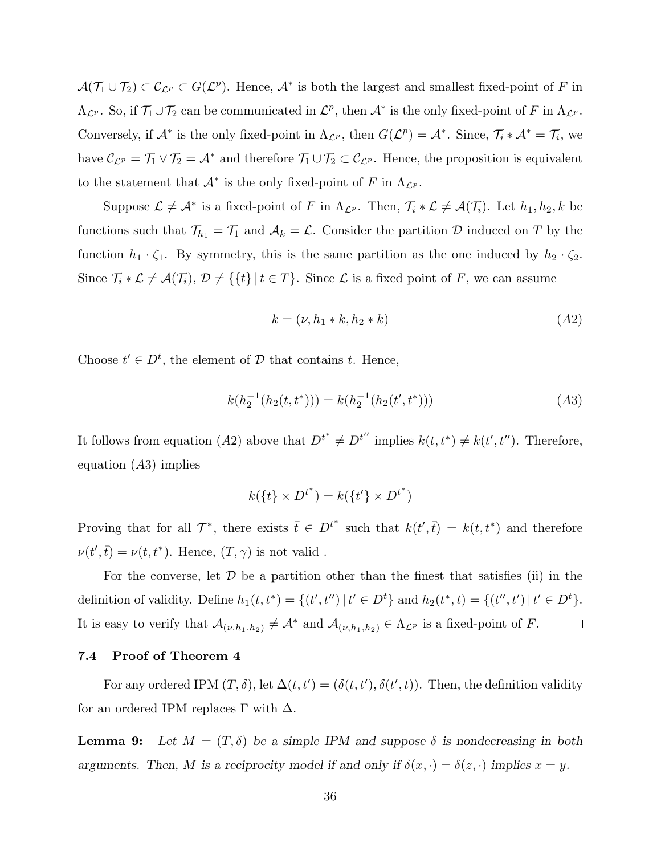$\mathcal{A}(\mathcal{T}_1 \cup \mathcal{T}_2) \subset \mathcal{C}_{\mathcal{L}^p} \subset G(\mathcal{L}^p)$ . Hence,  $\mathcal{A}^*$  is both the largest and smallest fixed-point of F in  $\Lambda_{\mathcal{L}^p}$ . So, if  $\mathcal{T}_1 \cup \mathcal{T}_2$  can be communicated in  $\mathcal{L}^p$ , then  $\mathcal{A}^*$  is the only fixed-point of F in  $\Lambda_{\mathcal{L}^p}$ . Conversely, if  $\mathcal{A}^*$  is the only fixed-point in  $\Lambda_{\mathcal{L}^p}$ , then  $G(\mathcal{L}^p) = \mathcal{A}^*$ . Since,  $\mathcal{T}_i * \mathcal{A}^* = \mathcal{T}_i$ , we have  $\mathcal{C}_{\mathcal{L}^p} = \mathcal{T}_1 \vee \mathcal{T}_2 = \mathcal{A}^*$  and therefore  $\mathcal{T}_1 \cup \mathcal{T}_2 \subset \mathcal{C}_{\mathcal{L}^p}$ . Hence, the proposition is equivalent to the statement that  $\mathcal{A}^*$  is the only fixed-point of F in  $\Lambda_{\mathcal{L}^p}$ .

Suppose  $\mathcal{L} \neq \mathcal{A}^*$  is a fixed-point of F in  $\Lambda_{\mathcal{L}^p}$ . Then,  $\mathcal{T}_i * \mathcal{L} \neq \mathcal{A}(\mathcal{T}_i)$ . Let  $h_1, h_2, k$  be functions such that  $\mathcal{T}_{h_1} = \mathcal{T}_1$  and  $\mathcal{A}_k = \mathcal{L}$ . Consider the partition  $\mathcal D$  induced on  $T$  by the function  $h_1 \cdot \zeta_1$ . By symmetry, this is the same partition as the one induced by  $h_2 \cdot \zeta_2$ . Since  $\mathcal{T}_i * \mathcal{L} \neq \mathcal{A}(\mathcal{T}_i), \mathcal{D} \neq \{\{t\} | t \in T\}.$  Since  $\mathcal{L}$  is a fixed point of F, we can assume

$$
k = (\nu, h_1 * k, h_2 * k) \tag{A2}
$$

Choose  $t' \in D^t$ , the element of  $D$  that contains t. Hence,

$$
k(h_2^{-1}(h_2(t, t^*))) = k(h_2^{-1}(h_2(t', t^*)))
$$
\n
$$
(A3)
$$

It follows from equation (A2) above that  $D^{t^*} \neq D^{t''}$  implies  $k(t, t^*) \neq k(t', t'')$ . Therefore, equation  $(A3)$  implies

$$
k(\lbrace t \rbrace \times D^{t^*}) = k(\lbrace t' \rbrace \times D^{t^*})
$$

Proving that for all  $\mathcal{T}^*$ , there exists  $\bar{t} \in D^{t^*}$  such that  $k(t', \bar{t}) = k(t, t^*)$  and therefore  $\nu(t',\bar{t}) = \nu(t,t^*)$ . Hence,  $(T,\gamma)$  is not valid.

For the converse, let  $\mathcal D$  be a partition other than the finest that satisfies (ii) in the definition of validity. Define  $h_1(t, t^*) = \{(t', t'') | t' \in D^t\}$  and  $h_2(t^*, t) = \{(t'', t') | t' \in D^t\}$ . It is easy to verify that  $\mathcal{A}_{(\nu,h_1,h_2)} \neq \mathcal{A}^*$  and  $\mathcal{A}_{(\nu,h_1,h_2)} \in \Lambda_{\mathcal{L}^p}$  is a fixed-point of F.  $\Box$ 

#### 7.4 Proof of Theorem 4

For any ordered IPM  $(T, \delta)$ , let  $\Delta(t, t') = (\delta(t, t'), \delta(t', t))$ . Then, the definition validity for an ordered IPM replaces  $\Gamma$  with  $\Delta$ .

**Lemma 9:** Let  $M = (T, \delta)$  be a simple IPM and suppose  $\delta$  is nondecreasing in both arguments. Then, M is a reciprocity model if and only if  $\delta(x, \cdot) = \delta(z, \cdot)$  implies  $x = y$ .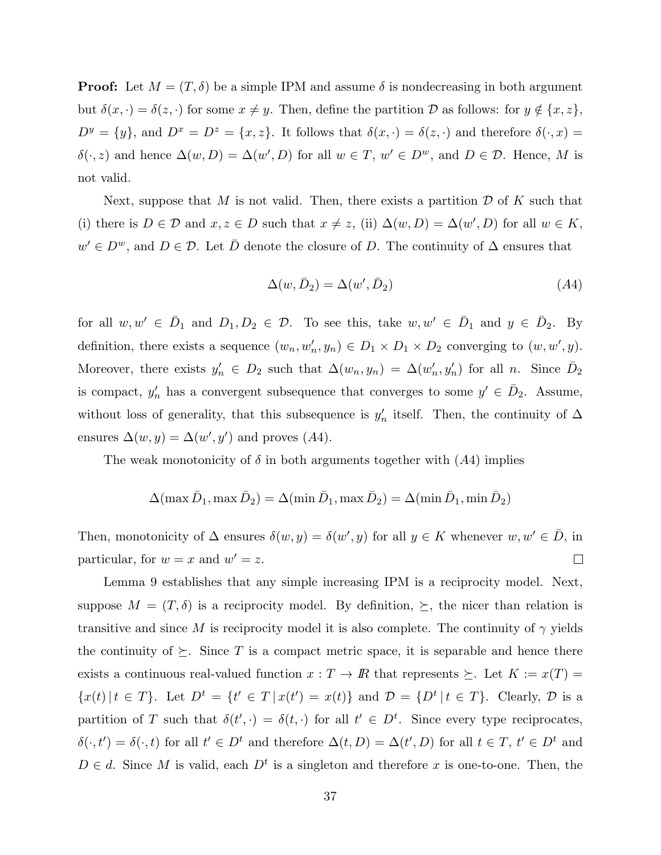**Proof:** Let  $M = (T, \delta)$  be a simple IPM and assume  $\delta$  is nondecreasing in both argument but  $\delta(x, \cdot) = \delta(z, \cdot)$  for some  $x \neq y$ . Then, define the partition D as follows: for  $y \notin \{x, z\}$ ,  $D^y = \{y\}$ , and  $D^x = D^z = \{x, z\}$ . It follows that  $\delta(x, \cdot) = \delta(z, \cdot)$  and therefore  $\delta(\cdot, x) =$  $\delta(\cdot, z)$  and hence  $\Delta(w, D) = \Delta(w', D)$  for all  $w \in T$ ,  $w' \in D^w$ , and  $D \in \mathcal{D}$ . Hence, M is not valid.

Next, suppose that M is not valid. Then, there exists a partition  $D$  of K such that (i) there is  $D \in \mathcal{D}$  and  $x, z \in D$  such that  $x \neq z$ , (ii)  $\Delta(w, D) = \Delta(w', D)$  for all  $w \in K$ ,  $w' \in D^w$ , and  $D \in \mathcal{D}$ . Let  $\overline{D}$  denote the closure of D. The continuity of  $\Delta$  ensures that

$$
\Delta(w, \bar{D}_2) = \Delta(w', \bar{D}_2) \tag{A4}
$$

for all  $w, w' \in \overline{D}_1$  and  $D_1, D_2 \in \mathcal{D}$ . To see this, take  $w, w' \in \overline{D}_1$  and  $y \in \overline{D}_2$ . By definition, there exists a sequence  $(w_n, w'_n, y_n) \in D_1 \times D_1 \times D_2$  converging to  $(w, w', y)$ . Moreover, there exists  $y'_n \in D_2$  such that  $\Delta(w_n, y_n) = \Delta(w'_n, y'_n)$  for all n. Since  $\overline{D}_2$ is compact,  $y'_n$  has a convergent subsequence that converges to some  $y' \in \bar{D}_2$ . Assume, without loss of generality, that this subsequence is  $y'_n$  itself. Then, the continuity of  $\Delta$ ensures  $\Delta(w, y) = \Delta(w', y')$  and proves (A4).

The weak monotonicity of  $\delta$  in both arguments together with  $(A4)$  implies

$$
\Delta(\max \bar{D}_1, \max \bar{D}_2) = \Delta(\min \bar{D}_1, \max \bar{D}_2) = \Delta(\min \bar{D}_1, \min \bar{D}_2)
$$

Then, monotonicity of  $\Delta$  ensures  $\delta(w, y) = \delta(w', y)$  for all  $y \in K$  whenever  $w, w' \in \overline{D}$ , in particular, for  $w = x$  and  $w' = z$ .  $\Box$ 

Lemma 9 establishes that any simple increasing IPM is a reciprocity model. Next, suppose  $M = (T, \delta)$  is a reciprocity model. By definition,  $\succeq$ , the nicer than relation is transitive and since M is reciprocity model it is also complete. The continuity of  $\gamma$  yields the continuity of  $\succeq$ . Since T is a compact metric space, it is separable and hence there exists a continuous real-valued function  $x : T \to \mathbb{R}$  that represents  $\succeq$ . Let  $K := x(T) =$  $\{x(t) | t \in T\}$ . Let  $D^t = \{t' \in T | x(t') = x(t)\}$  and  $\mathcal{D} = \{D^t | t \in T\}$ . Clearly,  $\mathcal{D}$  is a partition of T such that  $\delta(t', \cdot) = \delta(t, \cdot)$  for all  $t' \in D^t$ . Since every type reciprocates,  $\delta(\cdot, t') = \delta(\cdot, t)$  for all  $t' \in D^t$  and therefore  $\Delta(t, D) = \Delta(t', D)$  for all  $t \in T$ ,  $t' \in D^t$  and  $D \in d$ . Since M is valid, each  $D^t$  is a singleton and therefore x is one-to-one. Then, the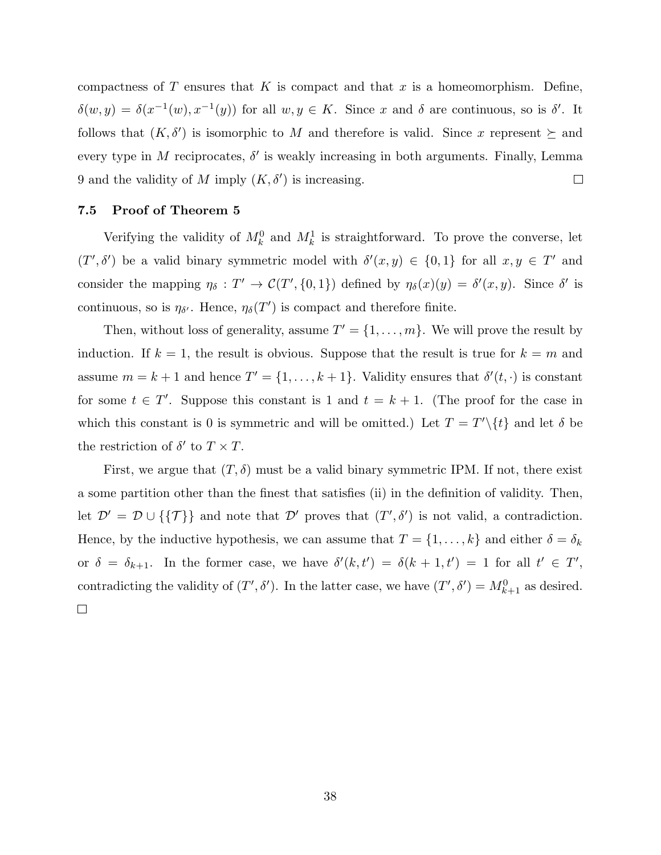compactness of T ensures that K is compact and that x is a homeomorphism. Define,  $\delta(w, y) = \delta(x^{-1}(w), x^{-1}(y))$  for all  $w, y \in K$ . Since x and  $\delta$  are continuous, so is  $\delta'$ . It follows that  $(K, \delta')$  is isomorphic to M and therefore is valid. Since x represent  $\succeq$  and every type in M reciprocates,  $\delta'$  is weakly increasing in both arguments. Finally, Lemma 9 and the validity of M imply  $(K, \delta')$  is increasing.  $\Box$ 

### 7.5 Proof of Theorem 5

Verifying the validity of  $M_k^0$  and  $M_k^1$  is straightforward. To prove the converse, let  $(T', \delta')$  be a valid binary symmetric model with  $\delta'(x, y) \in \{0, 1\}$  for all  $x, y \in T'$  and consider the mapping  $\eta_{\delta}: T' \to C(T', \{0, 1\})$  defined by  $\eta_{\delta}(x)(y) = \delta'(x, y)$ . Since  $\delta'$  is continuous, so is  $\eta_{\delta'}$ . Hence,  $\eta_{\delta}(T')$  is compact and therefore finite.

Then, without loss of generality, assume  $T' = \{1, \ldots, m\}$ . We will prove the result by induction. If  $k = 1$ , the result is obvious. Suppose that the result is true for  $k = m$  and assume  $m = k + 1$  and hence  $T' = \{1, \ldots, k + 1\}$ . Validity ensures that  $\delta'(t, \cdot)$  is constant for some  $t \in T'$ . Suppose this constant is 1 and  $t = k + 1$ . (The proof for the case in which this constant is 0 is symmetric and will be omitted.) Let  $T = T' \setminus \{t\}$  and let  $\delta$  be the restriction of  $\delta'$  to  $T \times T$ .

First, we argue that  $(T, \delta)$  must be a valid binary symmetric IPM. If not, there exist a some partition other than the finest that satisfies (ii) in the definition of validity. Then, let  $\mathcal{D}' = \mathcal{D} \cup \{\{\mathcal{T}\}\}\$ and note that  $\mathcal{D}'$  proves that  $(T', \delta')$  is not valid, a contradiction. Hence, by the inductive hypothesis, we can assume that  $T = \{1, \ldots, k\}$  and either  $\delta = \delta_k$ or  $\delta = \delta_{k+1}$ . In the former case, we have  $\delta'(k, t') = \delta(k+1, t') = 1$  for all  $t' \in T'$ , contradicting the validity of  $(T', \delta')$ . In the latter case, we have  $(T', \delta') = M_{k+1}^0$  as desired.  $\Box$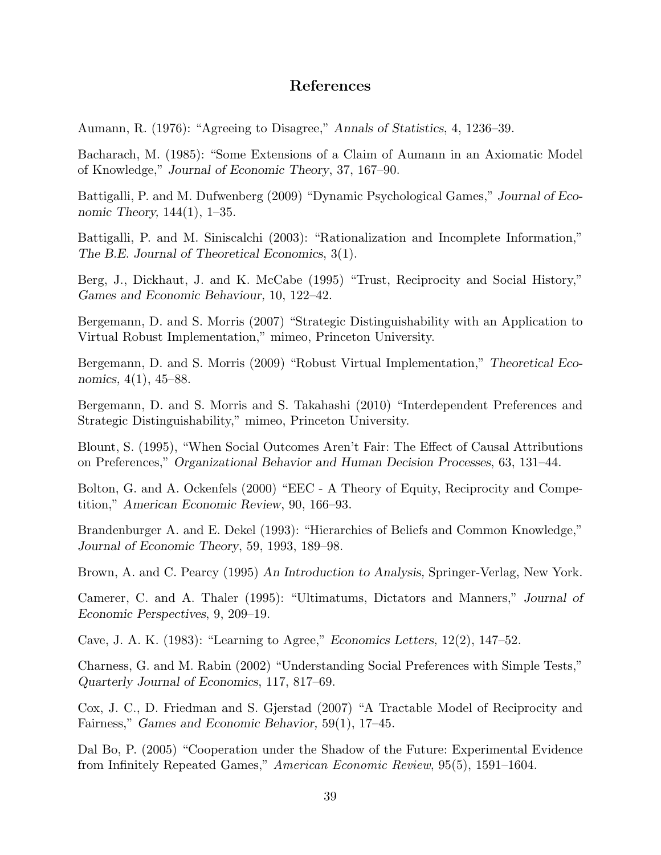## References

Aumann, R. (1976): "Agreeing to Disagree," Annals of Statistics, 4, 1236–39.

Bacharach, M. (1985): "Some Extensions of a Claim of Aumann in an Axiomatic Model of Knowledge," Journal of Economic Theory, 37, 167–90.

Battigalli, P. and M. Dufwenberg (2009) "Dynamic Psychological Games," Journal of Economic Theory, 144(1), 1–35.

Battigalli, P. and M. Siniscalchi (2003): "Rationalization and Incomplete Information," The B.E. Journal of Theoretical Economics, 3(1).

Berg, J., Dickhaut, J. and K. McCabe (1995) "Trust, Reciprocity and Social History," Games and Economic Behaviour, 10, 122–42.

Bergemann, D. and S. Morris (2007) "Strategic Distinguishability with an Application to Virtual Robust Implementation," mimeo, Princeton University.

Bergemann, D. and S. Morris (2009) "Robust Virtual Implementation," Theoretical Economics, 4(1), 45–88.

Bergemann, D. and S. Morris and S. Takahashi (2010) "Interdependent Preferences and Strategic Distinguishability," mimeo, Princeton University.

Blount, S. (1995), "When Social Outcomes Aren't Fair: The Effect of Causal Attributions on Preferences," Organizational Behavior and Human Decision Processes, 63, 131–44.

Bolton, G. and A. Ockenfels (2000) "EEC - A Theory of Equity, Reciprocity and Competition," American Economic Review, 90, 166–93.

Brandenburger A. and E. Dekel (1993): "Hierarchies of Beliefs and Common Knowledge," Journal of Economic Theory, 59, 1993, 189–98.

Brown, A. and C. Pearcy (1995) An Introduction to Analysis, Springer-Verlag, New York.

Camerer, C. and A. Thaler (1995): "Ultimatums, Dictators and Manners," Journal of Economic Perspectives, 9, 209–19.

Cave, J. A. K. (1983): "Learning to Agree," Economics Letters, 12(2), 147–52.

Charness, G. and M. Rabin (2002) "Understanding Social Preferences with Simple Tests," Quarterly Journal of Economics, 117, 817–69.

Cox, J. C., D. Friedman and S. Gjerstad (2007) "A Tractable Model of Reciprocity and Fairness," Games and Economic Behavior, 59(1), 17–45.

Dal Bo, P. (2005) "Cooperation under the Shadow of the Future: Experimental Evidence from Infinitely Repeated Games," American Economic Review, 95(5), 1591–1604.